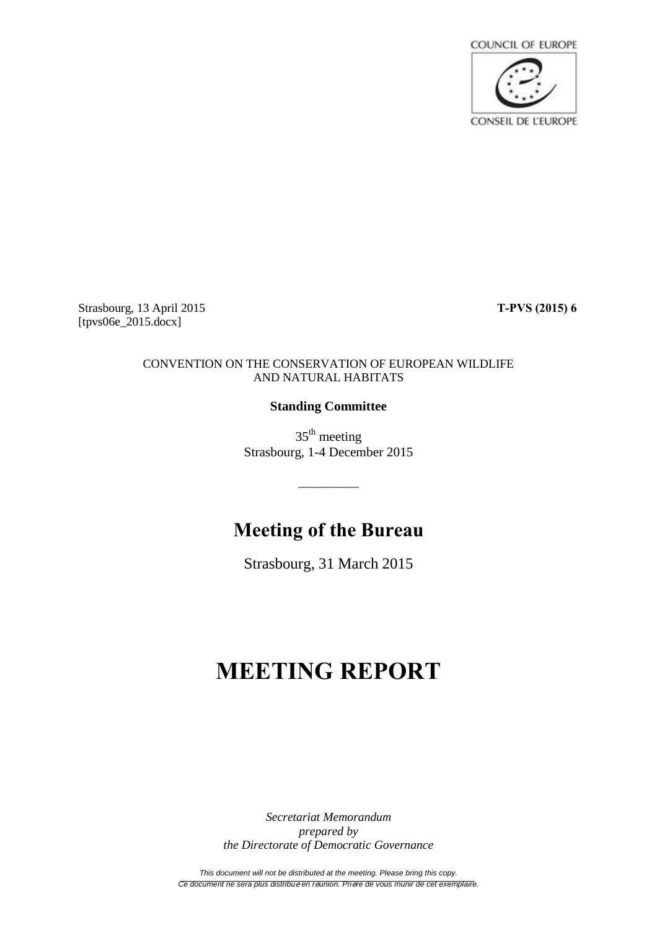

Strasbourg, 13 April 2015 **T-PVS (2015) 6** [tpvs06e\_2015.docx]

### CONVENTION ON THE CONSERVATION OF EUROPEAN WILDLIFE AND NATURAL HABITATS

## **Standing Committee**

35<sup>th</sup> meeting Strasbourg, 1-4 December 2015

\_\_\_\_\_\_\_\_\_\_

# **Meeting of the Bureau**

Strasbourg, 31 March 2015

# **MEETING REPORT**

*Secretariat Memorandum prepared by the Directorate of Democratic Governance*

*This document will not be distributed at the meeting. Please bring this copy. Ce document ne sera plus distribu*é *en r*é*union. Pri*è*re de vous munir de cet exemplaire.*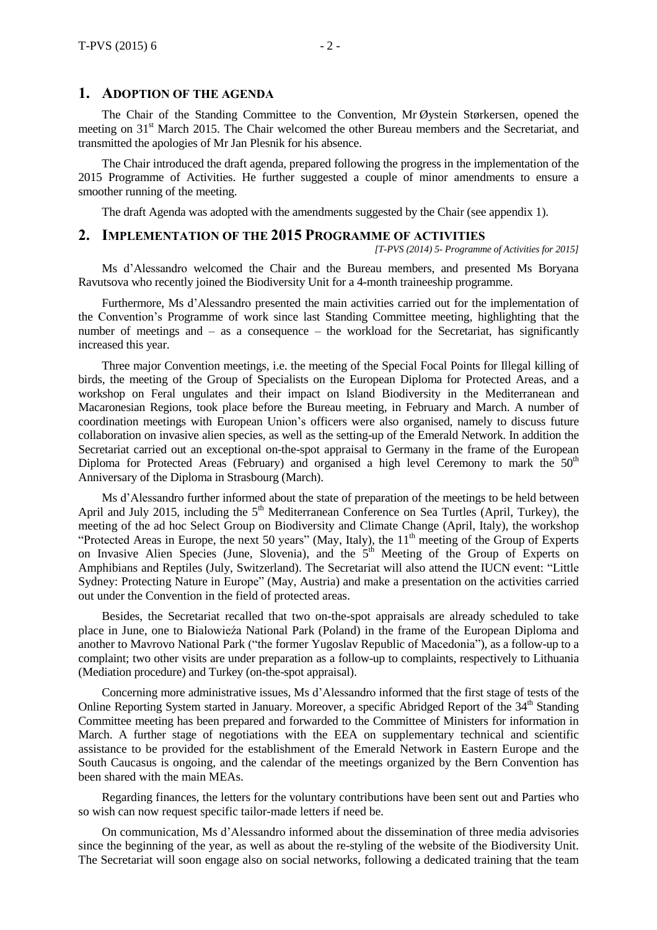#### **1. ADOPTION OF THE AGENDA**

The Chair of the Standing Committee to the Convention, Mr Øystein Størkersen, opened the meeting on 31<sup>st</sup> March 2015. The Chair welcomed the other Bureau members and the Secretariat, and transmitted the apologies of Mr Jan Plesnik for his absence.

The Chair introduced the draft agenda, prepared following the progress in the implementation of the 2015 Programme of Activities. He further suggested a couple of minor amendments to ensure a smoother running of the meeting.

The draft Agenda was adopted with the amendments suggested by the Chair (see appendix 1).

#### **2. IMPLEMENTATION OF THE 2015 PROGRAMME OF ACTIVITIES**

*[T-PVS (2014) 5- Programme of Activities for 2015]*

Ms d'Alessandro welcomed the Chair and the Bureau members, and presented Ms Boryana Ravutsova who recently joined the Biodiversity Unit for a 4-month traineeship programme.

Furthermore, Ms d'Alessandro presented the main activities carried out for the implementation of the Convention's Programme of work since last Standing Committee meeting, highlighting that the number of meetings and – as a consequence – the workload for the Secretariat, has significantly increased this year.

Three major Convention meetings, i.e. the meeting of the Special Focal Points for Illegal killing of birds, the meeting of the Group of Specialists on the European Diploma for Protected Areas, and a workshop on Feral ungulates and their impact on Island Biodiversity in the Mediterranean and Macaronesian Regions, took place before the Bureau meeting, in February and March. A number of coordination meetings with European Union's officers were also organised, namely to discuss future collaboration on invasive alien species, as well as the setting-up of the Emerald Network. In addition the Secretariat carried out an exceptional on-the-spot appraisal to Germany in the frame of the European Diploma for Protected Areas (February) and organised a high level Ceremony to mark the  $50<sup>th</sup>$ Anniversary of the Diploma in Strasbourg (March).

Ms d'Alessandro further informed about the state of preparation of the meetings to be held between April and July 2015, including the 5<sup>th</sup> Mediterranean Conference on Sea Turtles (April, Turkey), the meeting of the ad hoc Select Group on Biodiversity and Climate Change (April, Italy), the workshop "Protected Areas in Europe, the next 50 years" (May, Italy), the 11<sup>th</sup> meeting of the Group of Experts on Invasive Alien Species (June, Slovenia), and the 5<sup>th</sup> Meeting of the Group of Experts on Amphibians and Reptiles (July, Switzerland). The Secretariat will also attend the IUCN event: "Little Sydney: Protecting Nature in Europe" (May, Austria) and make a presentation on the activities carried out under the Convention in the field of protected areas.

Besides, the Secretariat recalled that two on-the-spot appraisals are already scheduled to take place in June, one to Bialowieźa National Park (Poland) in the frame of the European Diploma and another to Mavrovo National Park ("the former Yugoslav Republic of Macedonia"), as a follow-up to a complaint; two other visits are under preparation as a follow-up to complaints, respectively to Lithuania (Mediation procedure) and Turkey (on-the-spot appraisal).

Concerning more administrative issues, Ms d'Alessandro informed that the first stage of tests of the Online Reporting System started in January. Moreover, a specific Abridged Report of the 34<sup>th</sup> Standing Committee meeting has been prepared and forwarded to the Committee of Ministers for information in March. A further stage of negotiations with the EEA on supplementary technical and scientific assistance to be provided for the establishment of the Emerald Network in Eastern Europe and the South Caucasus is ongoing, and the calendar of the meetings organized by the Bern Convention has been shared with the main MEAs.

Regarding finances, the letters for the voluntary contributions have been sent out and Parties who so wish can now request specific tailor-made letters if need be.

On communication, Ms d'Alessandro informed about the dissemination of three media advisories since the beginning of the year, as well as about the re-styling of the website of the Biodiversity Unit. The Secretariat will soon engage also on social networks, following a dedicated training that the team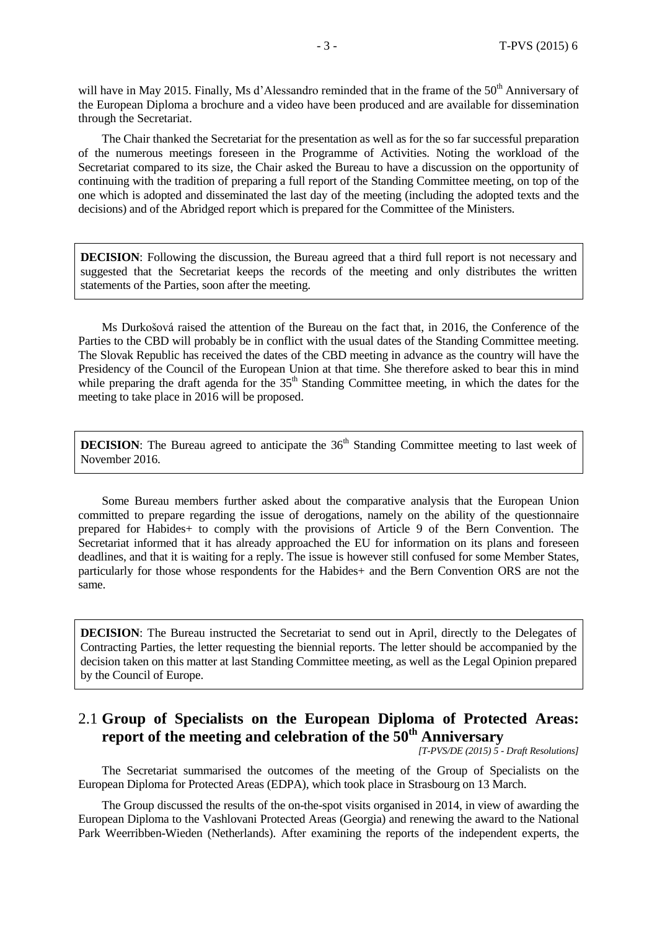will have in May 2015. Finally, Ms d'Alessandro reminded that in the frame of the 50<sup>th</sup> Anniversary of the European Diploma a brochure and a video have been produced and are available for dissemination through the Secretariat.

The Chair thanked the Secretariat for the presentation as well as for the so far successful preparation of the numerous meetings foreseen in the Programme of Activities. Noting the workload of the Secretariat compared to its size, the Chair asked the Bureau to have a discussion on the opportunity of continuing with the tradition of preparing a full report of the Standing Committee meeting, on top of the one which is adopted and disseminated the last day of the meeting (including the adopted texts and the decisions) and of the Abridged report which is prepared for the Committee of the Ministers.

**DECISION**: Following the discussion, the Bureau agreed that a third full report is not necessary and suggested that the Secretariat keeps the records of the meeting and only distributes the written statements of the Parties, soon after the meeting.

Ms Durkošová raised the attention of the Bureau on the fact that, in 2016, the Conference of the Parties to the CBD will probably be in conflict with the usual dates of the Standing Committee meeting. The Slovak Republic has received the dates of the CBD meeting in advance as the country will have the Presidency of the Council of the European Union at that time. She therefore asked to bear this in mind while preparing the draft agenda for the  $35<sup>th</sup>$  Standing Committee meeting, in which the dates for the meeting to take place in 2016 will be proposed.

**DECISION:** The Bureau agreed to anticipate the 36<sup>th</sup> Standing Committee meeting to last week of November 2016.

Some Bureau members further asked about the comparative analysis that the European Union committed to prepare regarding the issue of derogations, namely on the ability of the questionnaire prepared for Habides+ to comply with the provisions of Article 9 of the Bern Convention. The Secretariat informed that it has already approached the EU for information on its plans and foreseen deadlines, and that it is waiting for a reply. The issue is however still confused for some Member States, particularly for those whose respondents for the Habides+ and the Bern Convention ORS are not the same.

**DECISION:** The Bureau instructed the Secretariat to send out in April, directly to the Delegates of Contracting Parties, the letter requesting the biennial reports. The letter should be accompanied by the decision taken on this matter at last Standing Committee meeting, as well as the Legal Opinion prepared by the Council of Europe.

## 2.1 **Group of Specialists on the European Diploma of Protected Areas: report of the meeting and celebration of the 50th Anniversary**

*[T-PVS/DE (2015) 5 - Draft Resolutions]*

The Secretariat summarised the outcomes of the meeting of the Group of Specialists on the European Diploma for Protected Areas (EDPA), which took place in Strasbourg on 13 March.

The Group discussed the results of the on-the-spot visits organised in 2014, in view of awarding the European Diploma to the Vashlovani Protected Areas (Georgia) and renewing the award to the National Park Weerribben-Wieden (Netherlands). After examining the reports of the independent experts, the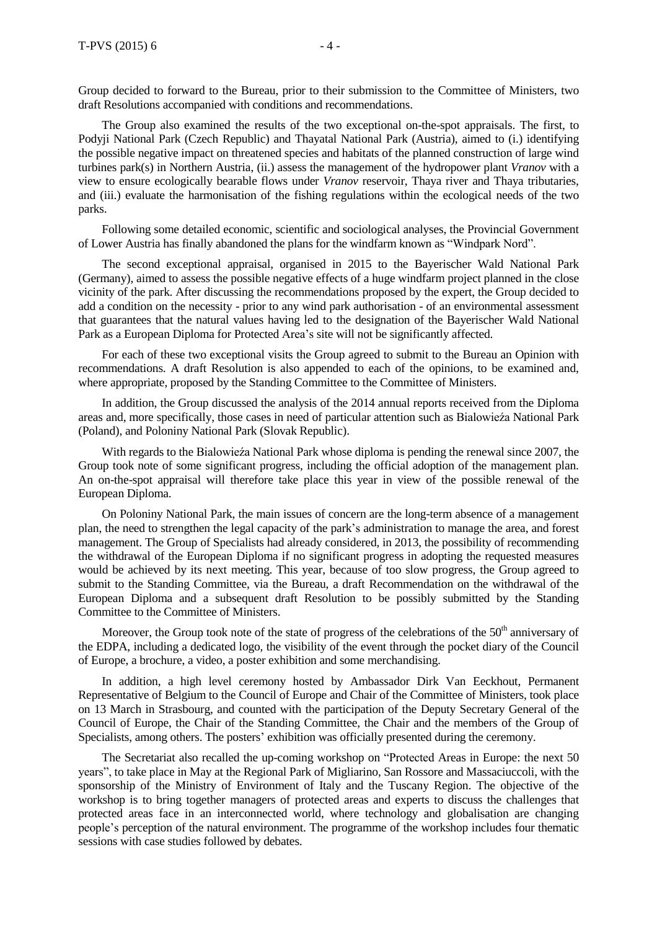The Group also examined the results of the two exceptional on-the-spot appraisals. The first, to Podyji National Park (Czech Republic) and Thayatal National Park (Austria), aimed to (i.) identifying the possible negative impact on threatened species and habitats of the planned construction of large wind turbines park(s) in Northern Austria, (ii.) assess the management of the hydropower plant *Vranov* with a view to ensure ecologically bearable flows under *Vranov* reservoir, Thaya river and Thaya tributaries, and (iii.) evaluate the harmonisation of the fishing regulations within the ecological needs of the two parks.

Following some detailed economic, scientific and sociological analyses, the Provincial Government of Lower Austria has finally abandoned the plans for the windfarm known as "Windpark Nord".

The second exceptional appraisal, organised in 2015 to the Bayerischer Wald National Park (Germany), aimed to assess the possible negative effects of a huge windfarm project planned in the close vicinity of the park. After discussing the recommendations proposed by the expert, the Group decided to add a condition on the necessity - prior to any wind park authorisation - of an environmental assessment that guarantees that the natural values having led to the designation of the Bayerischer Wald National Park as a European Diploma for Protected Area's site will not be significantly affected.

For each of these two exceptional visits the Group agreed to submit to the Bureau an Opinion with recommendations. A draft Resolution is also appended to each of the opinions, to be examined and, where appropriate, proposed by the Standing Committee to the Committee of Ministers.

In addition, the Group discussed the analysis of the 2014 annual reports received from the Diploma areas and, more specifically, those cases in need of particular attention such as Bialowieźa National Park (Poland), and Poloniny National Park (Slovak Republic).

With regards to the Bialowieźa National Park whose diploma is pending the renewal since 2007, the Group took note of some significant progress, including the official adoption of the management plan. An on-the-spot appraisal will therefore take place this year in view of the possible renewal of the European Diploma.

On Poloniny National Park, the main issues of concern are the long-term absence of a management plan, the need to strengthen the legal capacity of the park's administration to manage the area, and forest management. The Group of Specialists had already considered, in 2013, the possibility of recommending the withdrawal of the European Diploma if no significant progress in adopting the requested measures would be achieved by its next meeting. This year, because of too slow progress, the Group agreed to submit to the Standing Committee, via the Bureau, a draft Recommendation on the withdrawal of the European Diploma and a subsequent draft Resolution to be possibly submitted by the Standing Committee to the Committee of Ministers.

Moreover, the Group took note of the state of progress of the celebrations of the  $50<sup>th</sup>$  anniversary of the EDPA, including a dedicated logo, the visibility of the event through the pocket diary of the Council of Europe, a brochure, a video, a poster exhibition and some merchandising.

In addition, a high level ceremony hosted by Ambassador Dirk Van Eeckhout, Permanent Representative of Belgium to the Council of Europe and Chair of the Committee of Ministers, took place on 13 March in Strasbourg, and counted with the participation of the Deputy Secretary General of the Council of Europe, the Chair of the Standing Committee, the Chair and the members of the Group of Specialists, among others. The posters' exhibition was officially presented during the ceremony.

The Secretariat also recalled the up-coming workshop on "Protected Areas in Europe: the next 50 years", to take place in May at the Regional Park of Migliarino, San Rossore and Massaciuccoli, with the sponsorship of the Ministry of Environment of Italy and the Tuscany Region. The objective of the workshop is to bring together managers of protected areas and experts to discuss the challenges that protected areas face in an interconnected world, where technology and globalisation are changing people's perception of the natural environment. The programme of the workshop includes four thematic sessions with case studies followed by debates.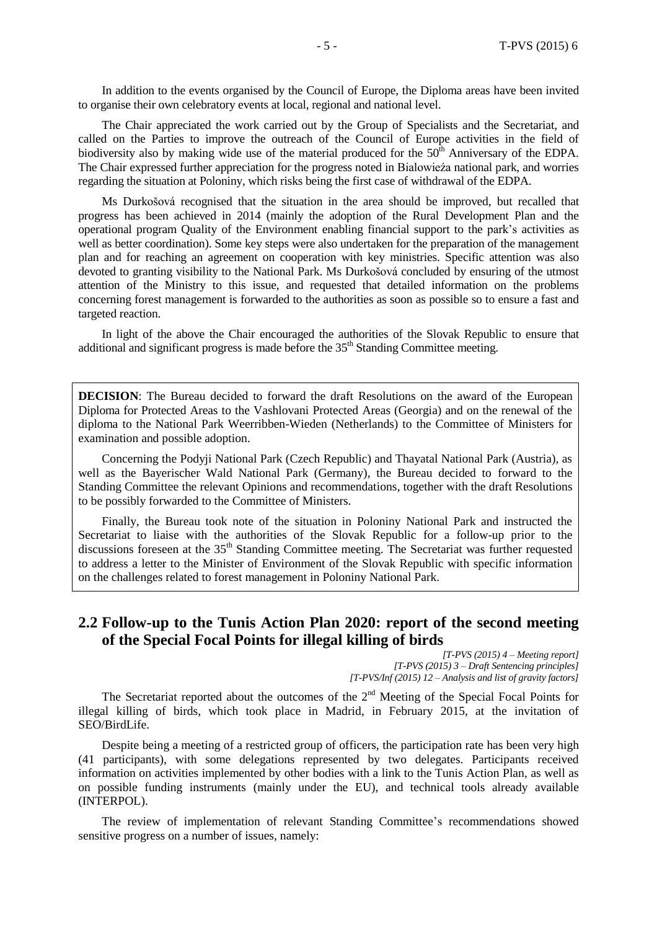In addition to the events organised by the Council of Europe, the Diploma areas have been invited to organise their own celebratory events at local, regional and national level.

The Chair appreciated the work carried out by the Group of Specialists and the Secretariat, and called on the Parties to improve the outreach of the Council of Europe activities in the field of biodiversity also by making wide use of the material produced for the  $50<sup>th</sup>$  Anniversary of the EDPA. The Chair expressed further appreciation for the progress noted in Bialowieźa national park, and worries regarding the situation at Poloniny, which risks being the first case of withdrawal of the EDPA.

Ms Durkošová recognised that the situation in the area should be improved, but recalled that progress has been achieved in 2014 (mainly the adoption of the Rural Development Plan and the operational program Quality of the Environment enabling financial support to the park's activities as well as better coordination). Some key steps were also undertaken for the preparation of the management plan and for reaching an agreement on cooperation with key ministries. Specific attention was also devoted to granting visibility to the National Park. Ms Durkošová concluded by ensuring of the utmost attention of the Ministry to this issue, and requested that detailed information on the problems concerning forest management is forwarded to the authorities as soon as possible so to ensure a fast and targeted reaction.

In light of the above the Chair encouraged the authorities of the Slovak Republic to ensure that additional and significant progress is made before the  $35<sup>th</sup>$  Standing Committee meeting.

**DECISION**: The Bureau decided to forward the draft Resolutions on the award of the European Diploma for Protected Areas to the Vashlovani Protected Areas (Georgia) and on the renewal of the diploma to the National Park Weerribben-Wieden (Netherlands) to the Committee of Ministers for examination and possible adoption.

Concerning the Podyji National Park (Czech Republic) and Thayatal National Park (Austria), as well as the Bayerischer Wald National Park (Germany), the Bureau decided to forward to the Standing Committee the relevant Opinions and recommendations, together with the draft Resolutions to be possibly forwarded to the Committee of Ministers.

Finally, the Bureau took note of the situation in Poloniny National Park and instructed the Secretariat to liaise with the authorities of the Slovak Republic for a follow-up prior to the discussions foreseen at the 35<sup>th</sup> Standing Committee meeting. The Secretariat was further requested to address a letter to the Minister of Environment of the Slovak Republic with specific information on the challenges related to forest management in Poloniny National Park.

## **2.2 Follow-up to the Tunis Action Plan 2020: report of the second meeting of the Special Focal Points for illegal killing of birds**

*[T-PVS (2015) 4 – Meeting report] [T-PVS (2015) 3 – Draft Sentencing principles] [T-PVS/Inf (2015) 12 – Analysis and list of gravity factors]*

The Secretariat reported about the outcomes of the  $2<sup>nd</sup>$  Meeting of the Special Focal Points for illegal killing of birds, which took place in Madrid, in February 2015, at the invitation of SEO/BirdLife.

Despite being a meeting of a restricted group of officers, the participation rate has been very high (41 participants), with some delegations represented by two delegates. Participants received information on activities implemented by other bodies with a link to the Tunis Action Plan, as well as on possible funding instruments (mainly under the EU), and technical tools already available (INTERPOL).

The review of implementation of relevant Standing Committee's recommendations showed sensitive progress on a number of issues, namely: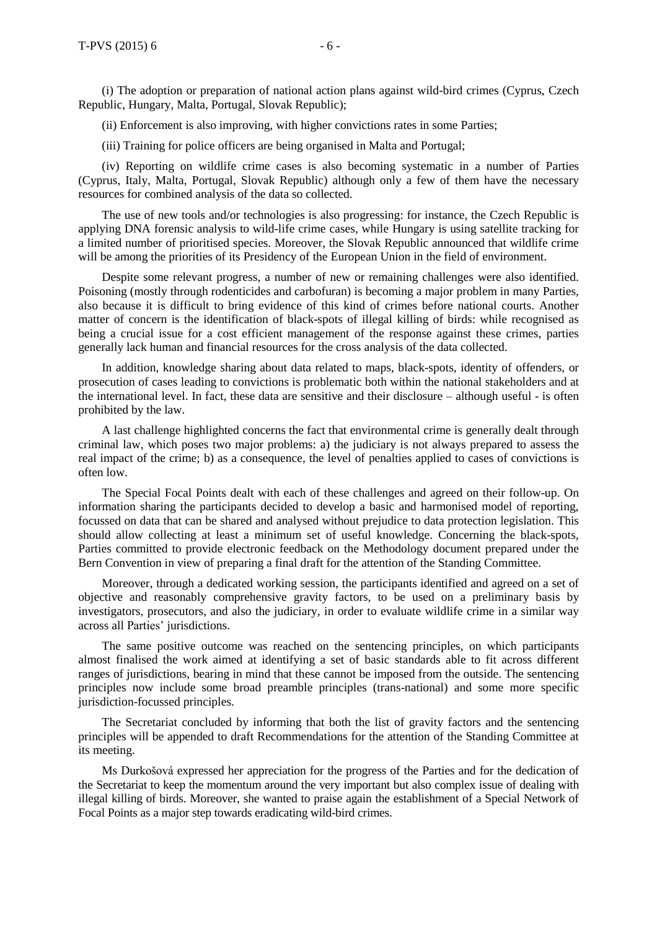(i) The adoption or preparation of national action plans against wild-bird crimes (Cyprus, Czech Republic, Hungary, Malta, Portugal, Slovak Republic);

(ii) Enforcement is also improving, with higher convictions rates in some Parties;

(iii) Training for police officers are being organised in Malta and Portugal;

(iv) Reporting on wildlife crime cases is also becoming systematic in a number of Parties (Cyprus, Italy, Malta, Portugal, Slovak Republic) although only a few of them have the necessary resources for combined analysis of the data so collected.

The use of new tools and/or technologies is also progressing: for instance, the Czech Republic is applying DNA forensic analysis to wild-life crime cases, while Hungary is using satellite tracking for a limited number of prioritised species. Moreover, the Slovak Republic announced that wildlife crime will be among the priorities of its Presidency of the European Union in the field of environment.

Despite some relevant progress, a number of new or remaining challenges were also identified. Poisoning (mostly through rodenticides and carbofuran) is becoming a major problem in many Parties, also because it is difficult to bring evidence of this kind of crimes before national courts. Another matter of concern is the identification of black-spots of illegal killing of birds: while recognised as being a crucial issue for a cost efficient management of the response against these crimes, parties generally lack human and financial resources for the cross analysis of the data collected.

In addition, knowledge sharing about data related to maps, black-spots, identity of offenders, or prosecution of cases leading to convictions is problematic both within the national stakeholders and at the international level. In fact, these data are sensitive and their disclosure – although useful - is often prohibited by the law.

A last challenge highlighted concerns the fact that environmental crime is generally dealt through criminal law, which poses two major problems: a) the judiciary is not always prepared to assess the real impact of the crime; b) as a consequence, the level of penalties applied to cases of convictions is often low.

The Special Focal Points dealt with each of these challenges and agreed on their follow-up. On information sharing the participants decided to develop a basic and harmonised model of reporting, focussed on data that can be shared and analysed without prejudice to data protection legislation. This should allow collecting at least a minimum set of useful knowledge. Concerning the black-spots, Parties committed to provide electronic feedback on the Methodology document prepared under the Bern Convention in view of preparing a final draft for the attention of the Standing Committee.

Moreover, through a dedicated working session, the participants identified and agreed on a set of objective and reasonably comprehensive gravity factors, to be used on a preliminary basis by investigators, prosecutors, and also the judiciary, in order to evaluate wildlife crime in a similar way across all Parties' jurisdictions.

The same positive outcome was reached on the sentencing principles, on which participants almost finalised the work aimed at identifying a set of basic standards able to fit across different ranges of jurisdictions, bearing in mind that these cannot be imposed from the outside. The sentencing principles now include some broad preamble principles (trans-national) and some more specific jurisdiction-focussed principles.

The Secretariat concluded by informing that both the list of gravity factors and the sentencing principles will be appended to draft Recommendations for the attention of the Standing Committee at its meeting.

Ms Durkošová expressed her appreciation for the progress of the Parties and for the dedication of the Secretariat to keep the momentum around the very important but also complex issue of dealing with illegal killing of birds. Moreover, she wanted to praise again the establishment of a Special Network of Focal Points as a major step towards eradicating wild-bird crimes.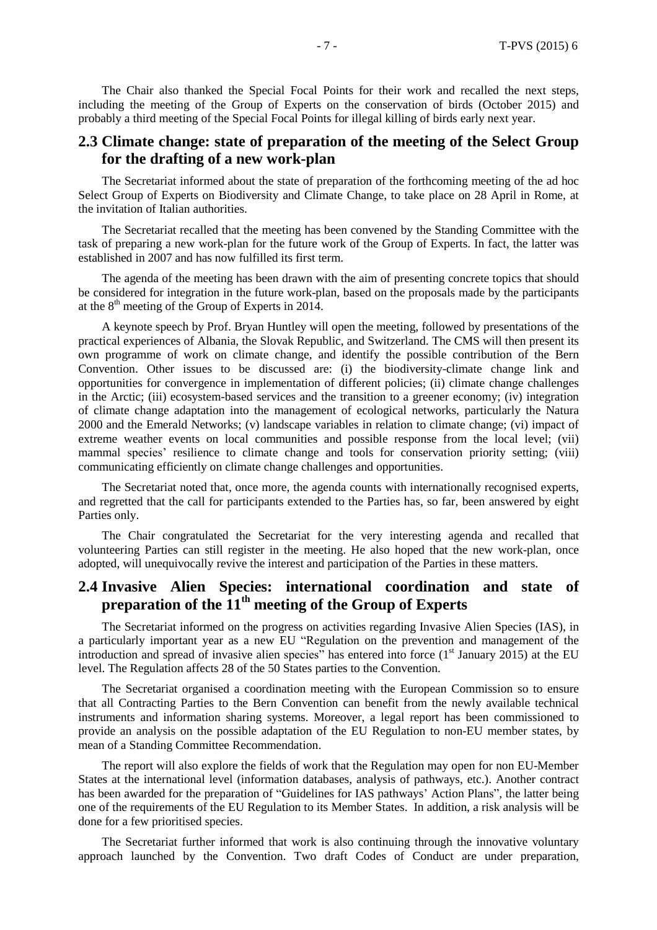The Chair also thanked the Special Focal Points for their work and recalled the next steps, including the meeting of the Group of Experts on the conservation of birds (October 2015) and probably a third meeting of the Special Focal Points for illegal killing of birds early next year.

## **2.3 Climate change: state of preparation of the meeting of the Select Group for the drafting of a new work-plan**

The Secretariat informed about the state of preparation of the forthcoming meeting of the ad hoc Select Group of Experts on Biodiversity and Climate Change, to take place on 28 April in Rome, at the invitation of Italian authorities.

The Secretariat recalled that the meeting has been convened by the Standing Committee with the task of preparing a new work-plan for the future work of the Group of Experts. In fact, the latter was established in 2007 and has now fulfilled its first term.

The agenda of the meeting has been drawn with the aim of presenting concrete topics that should be considered for integration in the future work-plan, based on the proposals made by the participants at the  $8<sup>th</sup>$  meeting of the Group of Experts in 2014.

A keynote speech by Prof. Bryan Huntley will open the meeting, followed by presentations of the practical experiences of Albania, the Slovak Republic, and Switzerland. The CMS will then present its own programme of work on climate change, and identify the possible contribution of the Bern Convention. Other issues to be discussed are: (i) the biodiversity-climate change link and opportunities for convergence in implementation of different policies; (ii) climate change challenges in the Arctic; (iii) ecosystem-based services and the transition to a greener economy; (iv) integration of climate change adaptation into the management of ecological networks, particularly the Natura 2000 and the Emerald Networks; (v) landscape variables in relation to climate change; (vi) impact of extreme weather events on local communities and possible response from the local level; (vii) mammal species' resilience to climate change and tools for conservation priority setting; (viii) communicating efficiently on climate change challenges and opportunities.

The Secretariat noted that, once more, the agenda counts with internationally recognised experts, and regretted that the call for participants extended to the Parties has, so far, been answered by eight Parties only.

The Chair congratulated the Secretariat for the very interesting agenda and recalled that volunteering Parties can still register in the meeting. He also hoped that the new work-plan, once adopted, will unequivocally revive the interest and participation of the Parties in these matters.

## **2.4 Invasive Alien Species: international coordination and state of preparation of the 11th meeting of the Group of Experts**

The Secretariat informed on the progress on activities regarding Invasive Alien Species (IAS), in a particularly important year as a new EU "Regulation on the prevention and management of the introduction and spread of invasive alien species" has entered into force  $(1<sup>st</sup>$  January 2015) at the EU level. The Regulation affects 28 of the 50 States parties to the Convention.

The Secretariat organised a coordination meeting with the European Commission so to ensure that all Contracting Parties to the Bern Convention can benefit from the newly available technical instruments and information sharing systems. Moreover, a legal report has been commissioned to provide an analysis on the possible adaptation of the EU Regulation to non-EU member states, by mean of a Standing Committee Recommendation.

The report will also explore the fields of work that the Regulation may open for non EU-Member States at the international level (information databases, analysis of pathways, etc.). Another contract has been awarded for the preparation of "Guidelines for IAS pathways' Action Plans", the latter being one of the requirements of the EU Regulation to its Member States. In addition, a risk analysis will be done for a few prioritised species.

The Secretariat further informed that work is also continuing through the innovative voluntary approach launched by the Convention. Two draft Codes of Conduct are under preparation,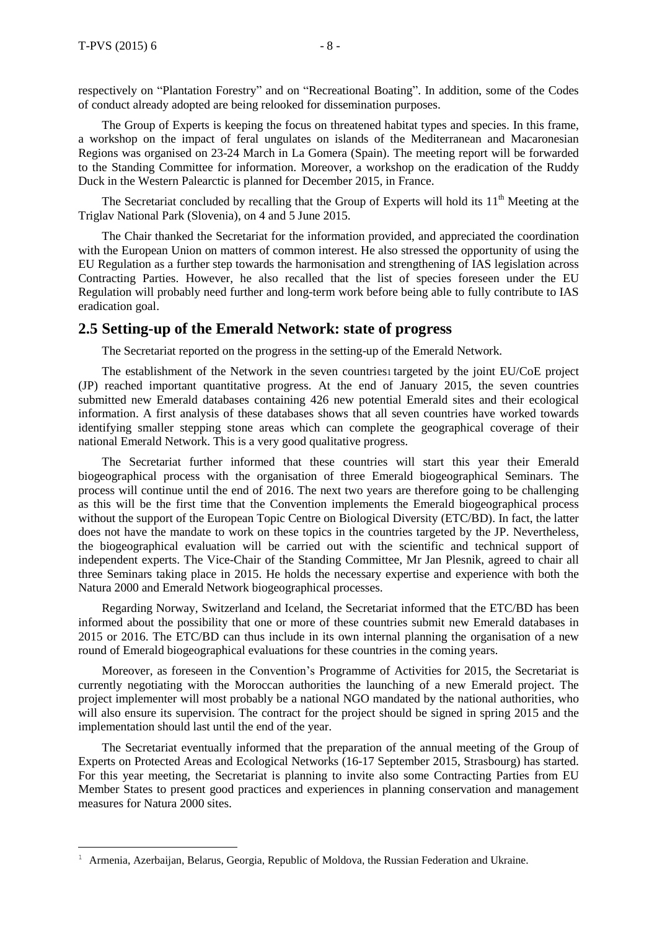$\overline{a}$ 

respectively on "Plantation Forestry" and on "Recreational Boating". In addition, some of the Codes of conduct already adopted are being relooked for dissemination purposes.

The Group of Experts is keeping the focus on threatened habitat types and species. In this frame, a workshop on the impact of feral ungulates on islands of the Mediterranean and Macaronesian Regions was organised on 23-24 March in La Gomera (Spain). The meeting report will be forwarded to the Standing Committee for information. Moreover, a workshop on the eradication of the Ruddy Duck in the Western Palearctic is planned for December 2015, in France.

The Secretariat concluded by recalling that the Group of Experts will hold its  $11<sup>th</sup>$  Meeting at the Triglav National Park (Slovenia), on 4 and 5 June 2015.

The Chair thanked the Secretariat for the information provided, and appreciated the coordination with the European Union on matters of common interest. He also stressed the opportunity of using the EU Regulation as a further step towards the harmonisation and strengthening of IAS legislation across Contracting Parties. However, he also recalled that the list of species foreseen under the EU Regulation will probably need further and long-term work before being able to fully contribute to IAS eradication goal.

## **2.5 Setting-up of the Emerald Network: state of progress**

The Secretariat reported on the progress in the setting-up of the Emerald Network.

The establishment of the Network in the seven countries1 targeted by the joint EU/CoE project (JP) reached important quantitative progress. At the end of January 2015, the seven countries submitted new Emerald databases containing 426 new potential Emerald sites and their ecological information. A first analysis of these databases shows that all seven countries have worked towards identifying smaller stepping stone areas which can complete the geographical coverage of their national Emerald Network. This is a very good qualitative progress.

The Secretariat further informed that these countries will start this year their Emerald biogeographical process with the organisation of three Emerald biogeographical Seminars. The process will continue until the end of 2016. The next two years are therefore going to be challenging as this will be the first time that the Convention implements the Emerald biogeographical process without the support of the European Topic Centre on Biological Diversity (ETC/BD). In fact, the latter does not have the mandate to work on these topics in the countries targeted by the JP. Nevertheless, the biogeographical evaluation will be carried out with the scientific and technical support of independent experts. The Vice-Chair of the Standing Committee, Mr Jan Plesnik, agreed to chair all three Seminars taking place in 2015. He holds the necessary expertise and experience with both the Natura 2000 and Emerald Network biogeographical processes.

Regarding Norway, Switzerland and Iceland, the Secretariat informed that the ETC/BD has been informed about the possibility that one or more of these countries submit new Emerald databases in 2015 or 2016. The ETC/BD can thus include in its own internal planning the organisation of a new round of Emerald biogeographical evaluations for these countries in the coming years.

Moreover, as foreseen in the Convention's Programme of Activities for 2015, the Secretariat is currently negotiating with the Moroccan authorities the launching of a new Emerald project. The project implementer will most probably be a national NGO mandated by the national authorities, who will also ensure its supervision. The contract for the project should be signed in spring 2015 and the implementation should last until the end of the year.

The Secretariat eventually informed that the preparation of the annual meeting of the Group of Experts on Protected Areas and Ecological Networks (16-17 September 2015, Strasbourg) has started. For this year meeting, the Secretariat is planning to invite also some Contracting Parties from EU Member States to present good practices and experiences in planning conservation and management measures for Natura 2000 sites.

<sup>&</sup>lt;sup>1</sup> Armenia, Azerbaijan, Belarus, Georgia, Republic of Moldova, the Russian Federation and Ukraine.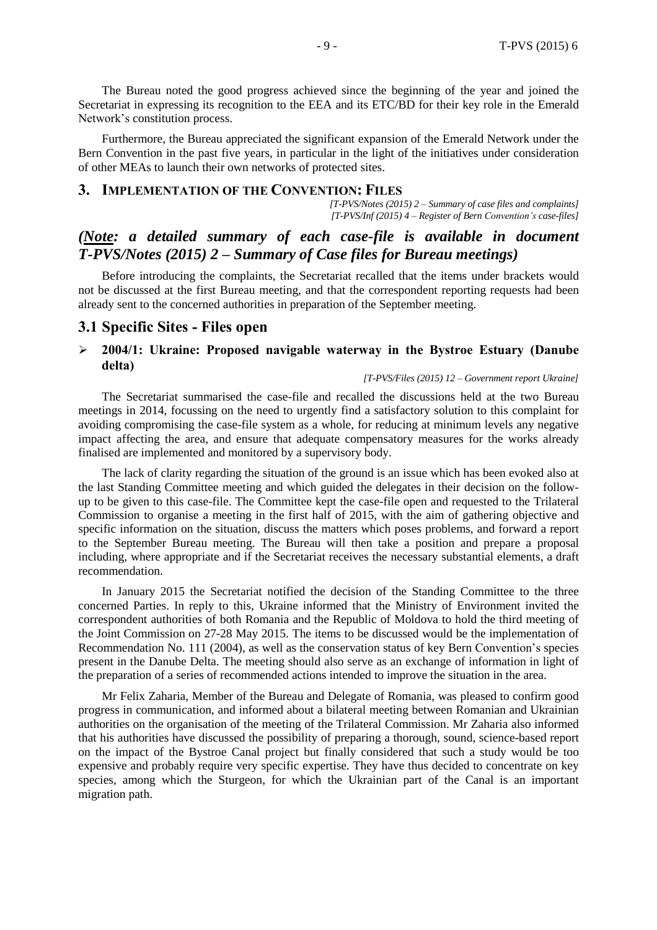The Bureau noted the good progress achieved since the beginning of the year and joined the Secretariat in expressing its recognition to the EEA and its ETC/BD for their key role in the Emerald Network's constitution process.

Furthermore, the Bureau appreciated the significant expansion of the Emerald Network under the Bern Convention in the past five years, in particular in the light of the initiatives under consideration of other MEAs to launch their own networks of protected sites.

#### **3. IMPLEMENTATION OF THE CONVENTION: FILES**

*[T-PVS/Notes (2015) 2 – Summary of case files and complaints] [T-PVS/Inf (2015) 4 – Register of Bern Convention's case-files]*

## *(Note: a detailed summary of each case-file is available in document T-PVS/Notes (2015) 2 – Summary of Case files for Bureau meetings)*

Before introducing the complaints, the Secretariat recalled that the items under brackets would not be discussed at the first Bureau meeting, and that the correspondent reporting requests had been already sent to the concerned authorities in preparation of the September meeting.

## **3.1 Specific Sites - Files open**

#### **2004/1: Ukraine: Proposed navigable waterway in the Bystroe Estuary (Danube delta)**

#### *[T-PVS/Files (2015) 12 – Government report Ukraine]*

The Secretariat summarised the case-file and recalled the discussions held at the two Bureau meetings in 2014, focussing on the need to urgently find a satisfactory solution to this complaint for avoiding compromising the case-file system as a whole, for reducing at minimum levels any negative impact affecting the area, and ensure that adequate compensatory measures for the works already finalised are implemented and monitored by a supervisory body.

The lack of clarity regarding the situation of the ground is an issue which has been evoked also at the last Standing Committee meeting and which guided the delegates in their decision on the followup to be given to this case-file. The Committee kept the case-file open and requested to the Trilateral Commission to organise a meeting in the first half of 2015, with the aim of gathering objective and specific information on the situation, discuss the matters which poses problems, and forward a report to the September Bureau meeting. The Bureau will then take a position and prepare a proposal including, where appropriate and if the Secretariat receives the necessary substantial elements, a draft recommendation.

In January 2015 the Secretariat notified the decision of the Standing Committee to the three concerned Parties. In reply to this, Ukraine informed that the Ministry of Environment invited the correspondent authorities of both Romania and the Republic of Moldova to hold the third meeting of the Joint Commission on 27-28 May 2015. The items to be discussed would be the implementation of Recommendation No. 111 (2004), as well as the conservation status of key Bern Convention's species present in the Danube Delta. The meeting should also serve as an exchange of information in light of the preparation of a series of recommended actions intended to improve the situation in the area.

Mr Felix Zaharia, Member of the Bureau and Delegate of Romania, was pleased to confirm good progress in communication, and informed about a bilateral meeting between Romanian and Ukrainian authorities on the organisation of the meeting of the Trilateral Commission. Mr Zaharia also informed that his authorities have discussed the possibility of preparing a thorough, sound, science-based report on the impact of the Bystroe Canal project but finally considered that such a study would be too expensive and probably require very specific expertise. They have thus decided to concentrate on key species, among which the Sturgeon, for which the Ukrainian part of the Canal is an important migration path.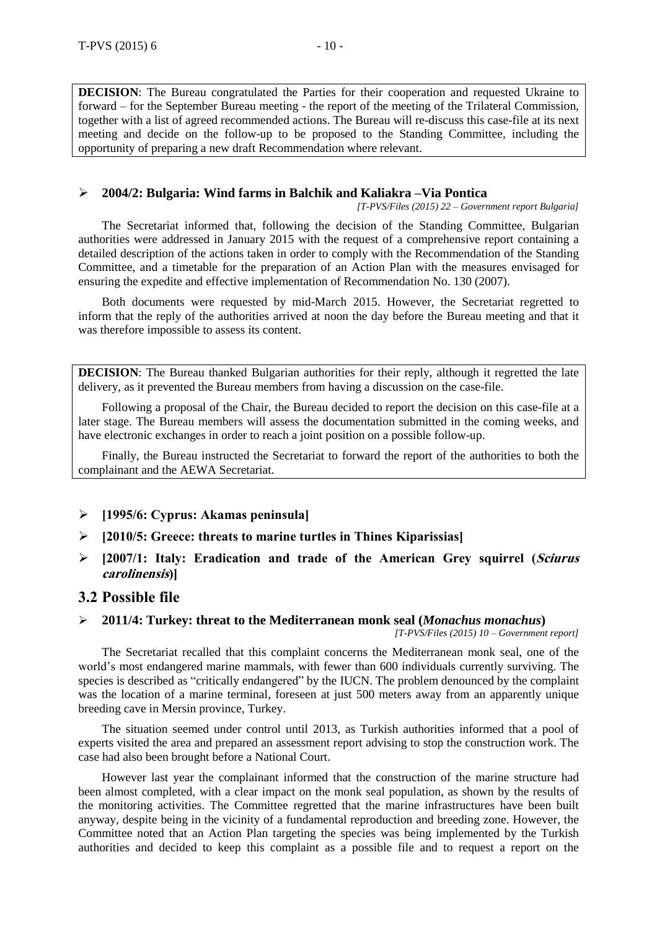**DECISION**: The Bureau congratulated the Parties for their cooperation and requested Ukraine to forward – for the September Bureau meeting - the report of the meeting of the Trilateral Commission, together with a list of agreed recommended actions. The Bureau will re-discuss this case-file at its next meeting and decide on the follow-up to be proposed to the Standing Committee, including the opportunity of preparing a new draft Recommendation where relevant.

### **2004/2: Bulgaria: Wind farms in Balchik and Kaliakra –Via Pontica**

*[T-PVS/Files (2015) 22 – Government report Bulgaria]*

The Secretariat informed that, following the decision of the Standing Committee, Bulgarian authorities were addressed in January 2015 with the request of a comprehensive report containing a detailed description of the actions taken in order to comply with the Recommendation of the Standing Committee, and a timetable for the preparation of an Action Plan with the measures envisaged for ensuring the expedite and effective implementation of Recommendation No. 130 (2007).

Both documents were requested by mid-March 2015. However, the Secretariat regretted to inform that the reply of the authorities arrived at noon the day before the Bureau meeting and that it was therefore impossible to assess its content.

**DECISION:** The Bureau thanked Bulgarian authorities for their reply, although it regretted the late delivery, as it prevented the Bureau members from having a discussion on the case-file.

Following a proposal of the Chair, the Bureau decided to report the decision on this case-file at a later stage. The Bureau members will assess the documentation submitted in the coming weeks, and have electronic exchanges in order to reach a joint position on a possible follow-up.

Finally, the Bureau instructed the Secretariat to forward the report of the authorities to both the complainant and the AEWA Secretariat.

- **[1995/6: Cyprus: Akamas peninsula]**
- **[2010/5: Greece: threats to marine turtles in Thines Kiparissias]**
- **[2007/1: Italy: Eradication and trade of the American Grey squirrel (Sciurus carolinensis)]**

## **3.2 Possible file**

#### **2011/4: Turkey: threat to the Mediterranean monk seal (***Monachus monachus***)**

*[T-PVS/Files (2015) 10 – Government report]*

The Secretariat recalled that this complaint concerns the Mediterranean monk seal, one of the world's most endangered marine mammals, with fewer than 600 individuals currently surviving. The species is described as "critically endangered" by the IUCN. The problem denounced by the complaint was the location of a marine terminal, foreseen at just 500 meters away from an apparently unique breeding cave in Mersin province, Turkey.

The situation seemed under control until 2013, as Turkish authorities informed that a pool of experts visited the area and prepared an assessment report advising to stop the construction work. The case had also been brought before a National Court.

However last year the complainant informed that the construction of the marine structure had been almost completed, with a clear impact on the monk seal population, as shown by the results of the monitoring activities. The Committee regretted that the marine infrastructures have been built anyway, despite being in the vicinity of a fundamental reproduction and breeding zone. However, the Committee noted that an Action Plan targeting the species was being implemented by the Turkish authorities and decided to keep this complaint as a possible file and to request a report on the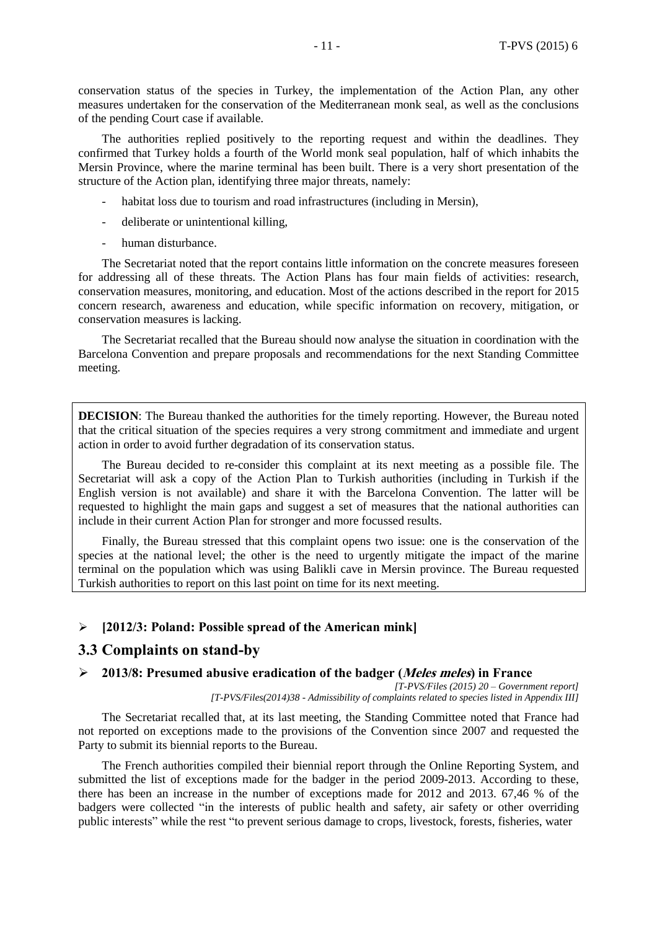conservation status of the species in Turkey, the implementation of the Action Plan, any other measures undertaken for the conservation of the Mediterranean monk seal, as well as the conclusions of the pending Court case if available.

The authorities replied positively to the reporting request and within the deadlines. They confirmed that Turkey holds a fourth of the World monk seal population, half of which inhabits the Mersin Province, where the marine terminal has been built. There is a very short presentation of the structure of the Action plan, identifying three major threats, namely:

- habitat loss due to tourism and road infrastructures (including in Mersin),
- deliberate or unintentional killing,
- human disturbance.

The Secretariat noted that the report contains little information on the concrete measures foreseen for addressing all of these threats. The Action Plans has four main fields of activities: research, conservation measures, monitoring, and education. Most of the actions described in the report for 2015 concern research, awareness and education, while specific information on recovery, mitigation, or conservation measures is lacking.

The Secretariat recalled that the Bureau should now analyse the situation in coordination with the Barcelona Convention and prepare proposals and recommendations for the next Standing Committee meeting.

**DECISION**: The Bureau thanked the authorities for the timely reporting. However, the Bureau noted that the critical situation of the species requires a very strong commitment and immediate and urgent action in order to avoid further degradation of its conservation status.

The Bureau decided to re-consider this complaint at its next meeting as a possible file. The Secretariat will ask a copy of the Action Plan to Turkish authorities (including in Turkish if the English version is not available) and share it with the Barcelona Convention. The latter will be requested to highlight the main gaps and suggest a set of measures that the national authorities can include in their current Action Plan for stronger and more focussed results.

Finally, the Bureau stressed that this complaint opens two issue: one is the conservation of the species at the national level; the other is the need to urgently mitigate the impact of the marine terminal on the population which was using Balikli cave in Mersin province. The Bureau requested Turkish authorities to report on this last point on time for its next meeting.

## **[2012/3: Poland: Possible spread of the American mink]**

## **3.3 Complaints on stand-by**

#### **2013/8: Presumed abusive eradication of the badger (Meles meles) in France**

*[T-PVS/Files (2015) 20 – Government report] [T-PVS/Files(2014)38 - Admissibility of complaints related to species listed in Appendix III]*

The Secretariat recalled that, at its last meeting, the Standing Committee noted that France had not reported on exceptions made to the provisions of the Convention since 2007 and requested the Party to submit its biennial reports to the Bureau.

The French authorities compiled their biennial report through the Online Reporting System, and submitted the list of exceptions made for the badger in the period 2009-2013. According to these, there has been an increase in the number of exceptions made for 2012 and 2013. 67,46 % of the badgers were collected "in the interests of public health and safety, air safety or other overriding public interests" while the rest "to prevent serious damage to crops, livestock, forests, fisheries, water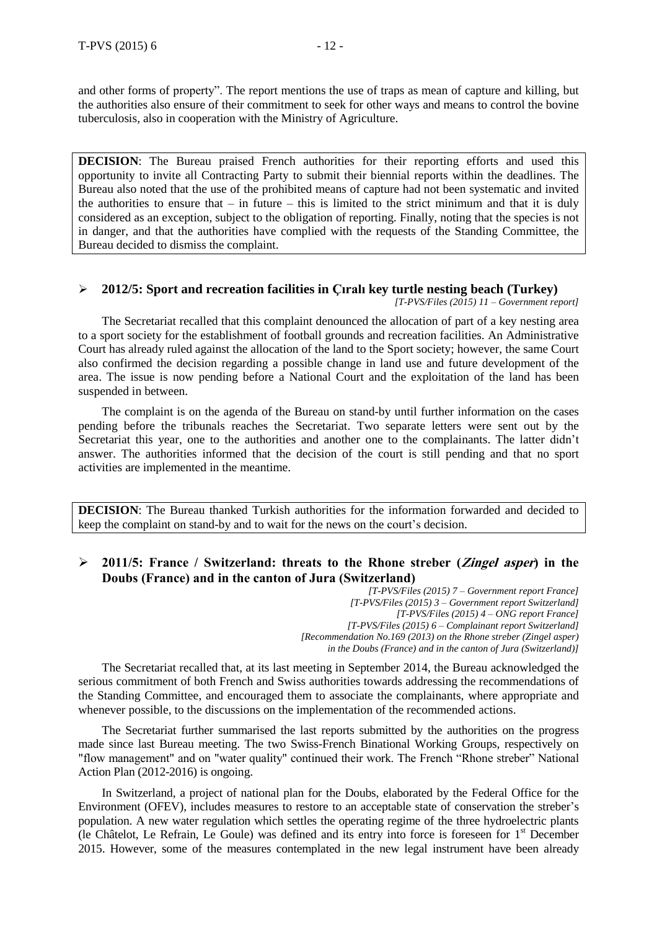and other forms of property". The report mentions the use of traps as mean of capture and killing, but the authorities also ensure of their commitment to seek for other ways and means to control the bovine tuberculosis, also in cooperation with the Ministry of Agriculture.

**DECISION**: The Bureau praised French authorities for their reporting efforts and used this opportunity to invite all Contracting Party to submit their biennial reports within the deadlines. The Bureau also noted that the use of the prohibited means of capture had not been systematic and invited the authorities to ensure that  $-$  in future  $-$  this is limited to the strict minimum and that it is duly considered as an exception, subject to the obligation of reporting. Finally, noting that the species is not in danger, and that the authorities have complied with the requests of the Standing Committee, the Bureau decided to dismiss the complaint.

## **2012/5: Sport and recreation facilities in Çıralı key turtle nesting beach (Turkey)**

*[T-PVS/Files (2015) 11 – Government report]*

The Secretariat recalled that this complaint denounced the allocation of part of a key nesting area to a sport society for the establishment of football grounds and recreation facilities. An Administrative Court has already ruled against the allocation of the land to the Sport society; however, the same Court also confirmed the decision regarding a possible change in land use and future development of the area. The issue is now pending before a National Court and the exploitation of the land has been suspended in between.

The complaint is on the agenda of the Bureau on stand-by until further information on the cases pending before the tribunals reaches the Secretariat. Two separate letters were sent out by the Secretariat this year, one to the authorities and another one to the complainants. The latter didn't answer. The authorities informed that the decision of the court is still pending and that no sport activities are implemented in the meantime.

**DECISION**: The Bureau thanked Turkish authorities for the information forwarded and decided to keep the complaint on stand-by and to wait for the news on the court's decision.

## **2011/5: France / Switzerland: threats to the Rhone streber (Zingel asper) in the Doubs (France) and in the canton of Jura (Switzerland)**

*[T-PVS/Files (2015) 7 – Government report France] [T-PVS/Files (2015) 3 – Government report Switzerland] [T-PVS/Files (2015) 4 – ONG report France] [T-PVS/Files (2015) 6 – Complainant report Switzerland] [Recommendation No.169 (2013) on the Rhone streber (Zingel asper) in the Doubs (France) and in the canton of Jura (Switzerland)]*

The Secretariat recalled that, at its last meeting in September 2014, the Bureau acknowledged the serious commitment of both French and Swiss authorities towards addressing the recommendations of the Standing Committee, and encouraged them to associate the complainants, where appropriate and whenever possible, to the discussions on the implementation of the recommended actions.

The Secretariat further summarised the last reports submitted by the authorities on the progress made since last Bureau meeting. The two Swiss-French Binational Working Groups, respectively on "flow management" and on "water quality" continued their work. The French "Rhone streber" National Action Plan (2012-2016) is ongoing.

In Switzerland, a project of national plan for the Doubs, elaborated by the Federal Office for the Environment (OFEV), includes measures to restore to an acceptable state of conservation the streber's population. A new water regulation which settles the operating regime of the three hydroelectric plants (le Châtelot, Le Refrain, Le Goule) was defined and its entry into force is foreseen for 1 st December 2015. However, some of the measures contemplated in the new legal instrument have been already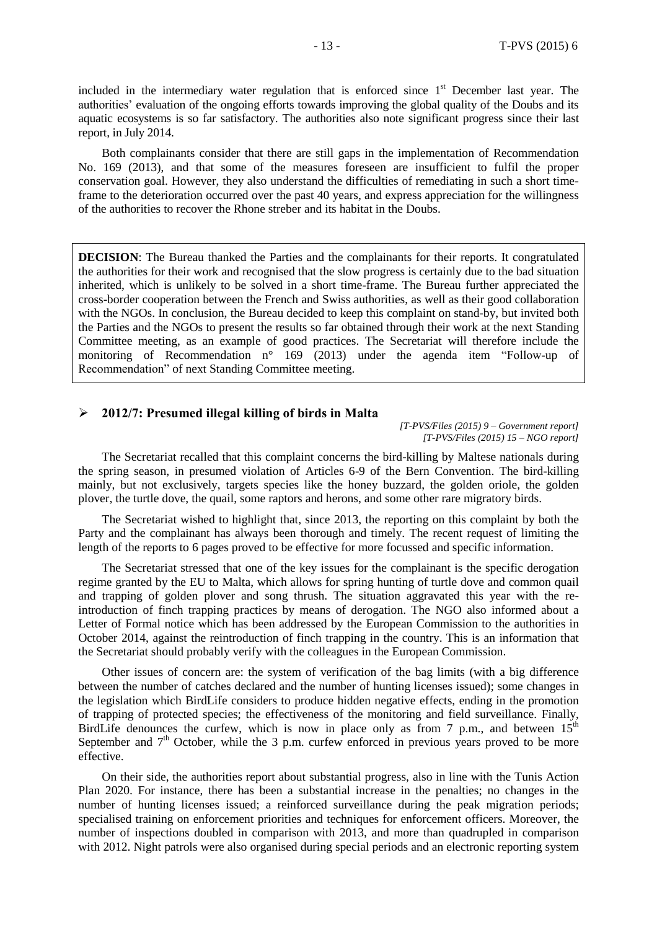included in the intermediary water regulation that is enforced since  $1<sup>st</sup>$  December last year. The authorities' evaluation of the ongoing efforts towards improving the global quality of the Doubs and its aquatic ecosystems is so far satisfactory. The authorities also note significant progress since their last report, in July 2014.

Both complainants consider that there are still gaps in the implementation of Recommendation No. 169 (2013), and that some of the measures foreseen are insufficient to fulfil the proper conservation goal. However, they also understand the difficulties of remediating in such a short timeframe to the deterioration occurred over the past 40 years, and express appreciation for the willingness of the authorities to recover the Rhone streber and its habitat in the Doubs.

**DECISION**: The Bureau thanked the Parties and the complainants for their reports. It congratulated the authorities for their work and recognised that the slow progress is certainly due to the bad situation inherited, which is unlikely to be solved in a short time-frame. The Bureau further appreciated the cross-border cooperation between the French and Swiss authorities, as well as their good collaboration with the NGOs. In conclusion, the Bureau decided to keep this complaint on stand-by, but invited both the Parties and the NGOs to present the results so far obtained through their work at the next Standing Committee meeting, as an example of good practices. The Secretariat will therefore include the monitoring of Recommendation n° 169 (2013) under the agenda item "Follow-up of Recommendation" of next Standing Committee meeting.

#### **2012/7: Presumed illegal killing of birds in Malta**

*[T-PVS/Files (2015) 9 – Government report] [T-PVS/Files (2015) 15 – NGO report]*

The Secretariat recalled that this complaint concerns the bird-killing by Maltese nationals during the spring season, in presumed violation of Articles 6-9 of the Bern Convention. The bird-killing mainly, but not exclusively, targets species like the honey buzzard, the golden oriole, the golden plover, the turtle dove, the quail, some raptors and herons, and some other rare migratory birds.

The Secretariat wished to highlight that, since 2013, the reporting on this complaint by both the Party and the complainant has always been thorough and timely. The recent request of limiting the length of the reports to 6 pages proved to be effective for more focussed and specific information.

The Secretariat stressed that one of the key issues for the complainant is the specific derogation regime granted by the EU to Malta, which allows for spring hunting of turtle dove and common quail and trapping of golden plover and song thrush. The situation aggravated this year with the reintroduction of finch trapping practices by means of derogation. The NGO also informed about a Letter of Formal notice which has been addressed by the European Commission to the authorities in October 2014, against the reintroduction of finch trapping in the country. This is an information that the Secretariat should probably verify with the colleagues in the European Commission.

Other issues of concern are: the system of verification of the bag limits (with a big difference between the number of catches declared and the number of hunting licenses issued); some changes in the legislation which BirdLife considers to produce hidden negative effects, ending in the promotion of trapping of protected species; the effectiveness of the monitoring and field surveillance. Finally, BirdLife denounces the curfew, which is now in place only as from 7 p.m., and between  $15<sup>th</sup>$ September and  $7<sup>th</sup>$  October, while the 3 p.m. curfew enforced in previous years proved to be more effective.

On their side, the authorities report about substantial progress, also in line with the Tunis Action Plan 2020. For instance, there has been a substantial increase in the penalties; no changes in the number of hunting licenses issued; a reinforced surveillance during the peak migration periods; specialised training on enforcement priorities and techniques for enforcement officers. Moreover, the number of inspections doubled in comparison with 2013, and more than quadrupled in comparison with 2012. Night patrols were also organised during special periods and an electronic reporting system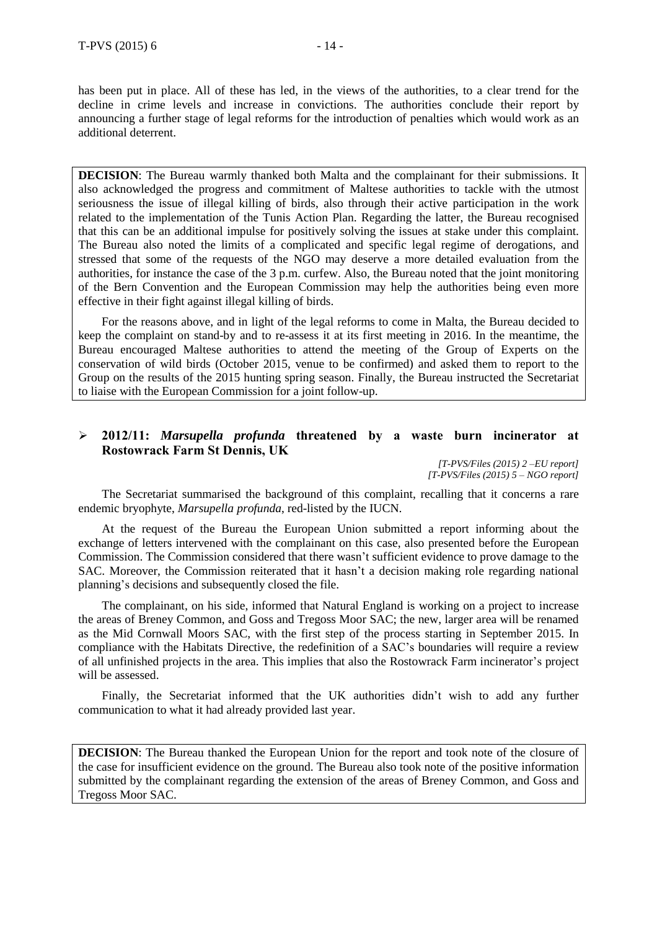has been put in place. All of these has led, in the views of the authorities, to a clear trend for the decline in crime levels and increase in convictions. The authorities conclude their report by announcing a further stage of legal reforms for the introduction of penalties which would work as an additional deterrent.

**DECISION**: The Bureau warmly thanked both Malta and the complainant for their submissions. It also acknowledged the progress and commitment of Maltese authorities to tackle with the utmost seriousness the issue of illegal killing of birds, also through their active participation in the work related to the implementation of the Tunis Action Plan. Regarding the latter, the Bureau recognised that this can be an additional impulse for positively solving the issues at stake under this complaint. The Bureau also noted the limits of a complicated and specific legal regime of derogations, and stressed that some of the requests of the NGO may deserve a more detailed evaluation from the authorities, for instance the case of the 3 p.m. curfew. Also, the Bureau noted that the joint monitoring of the Bern Convention and the European Commission may help the authorities being even more effective in their fight against illegal killing of birds.

For the reasons above, and in light of the legal reforms to come in Malta, the Bureau decided to keep the complaint on stand-by and to re-assess it at its first meeting in 2016. In the meantime, the Bureau encouraged Maltese authorities to attend the meeting of the Group of Experts on the conservation of wild birds (October 2015, venue to be confirmed) and asked them to report to the Group on the results of the 2015 hunting spring season. Finally, the Bureau instructed the Secretariat to liaise with the European Commission for a joint follow-up.

### **2012/11:** *Marsupella profunda* **threatened by a waste burn incinerator at Rostowrack Farm St Dennis, UK**

*[T-PVS/Files (2015) 2 –EU report] [T-PVS/Files (2015) 5 – NGO report]*

The Secretariat summarised the background of this complaint, recalling that it concerns a rare endemic bryophyte, *Marsupella profunda*, red-listed by the IUCN.

At the request of the Bureau the European Union submitted a report informing about the exchange of letters intervened with the complainant on this case, also presented before the European Commission. The Commission considered that there wasn't sufficient evidence to prove damage to the SAC. Moreover, the Commission reiterated that it hasn't a decision making role regarding national planning's decisions and subsequently closed the file.

The complainant, on his side, informed that Natural England is working on a project to increase the areas of Breney Common, and Goss and Tregoss Moor SAC; the new, larger area will be renamed as the Mid Cornwall Moors SAC, with the first step of the process starting in September 2015. In compliance with the Habitats Directive, the redefinition of a SAC's boundaries will require a review of all unfinished projects in the area. This implies that also the Rostowrack Farm incinerator's project will be assessed.

Finally, the Secretariat informed that the UK authorities didn't wish to add any further communication to what it had already provided last year.

**DECISION**: The Bureau thanked the European Union for the report and took note of the closure of the case for insufficient evidence on the ground. The Bureau also took note of the positive information submitted by the complainant regarding the extension of the areas of Breney Common, and Goss and Tregoss Moor SAC.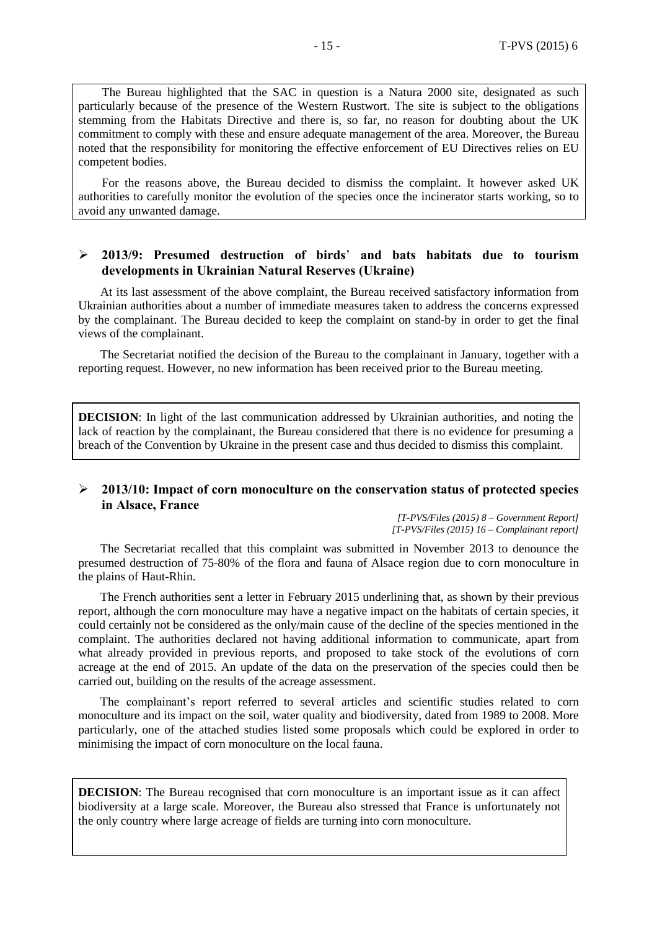The Bureau highlighted that the SAC in question is a Natura 2000 site, designated as such particularly because of the presence of the Western Rustwort. The site is subject to the obligations stemming from the Habitats Directive and there is, so far, no reason for doubting about the UK commitment to comply with these and ensure adequate management of the area. Moreover, the Bureau noted that the responsibility for monitoring the effective enforcement of EU Directives relies on EU competent bodies.

For the reasons above, the Bureau decided to dismiss the complaint. It however asked UK authorities to carefully monitor the evolution of the species once the incinerator starts working, so to avoid any unwanted damage.

#### **2013/9: Presumed destruction of birds**' **and bats habitats due to tourism developments in Ukrainian Natural Reserves (Ukraine)**

At its last assessment of the above complaint, the Bureau received satisfactory information from Ukrainian authorities about a number of immediate measures taken to address the concerns expressed by the complainant. The Bureau decided to keep the complaint on stand-by in order to get the final views of the complainant.

The Secretariat notified the decision of the Bureau to the complainant in January, together with a reporting request. However, no new information has been received prior to the Bureau meeting.

**DECISION**: In light of the last communication addressed by Ukrainian authorities, and noting the lack of reaction by the complainant, the Bureau considered that there is no evidence for presuming a breach of the Convention by Ukraine in the present case and thus decided to dismiss this complaint.

#### **2013/10: Impact of corn monoculture on the conservation status of protected species in Alsace, France**

*[T-PVS/Files (2015) 8 – Government Report] [T-PVS/Files (2015) 16 – Complainant report]*

The Secretariat recalled that this complaint was submitted in November 2013 to denounce the presumed destruction of 75-80% of the flora and fauna of Alsace region due to corn monoculture in the plains of Haut-Rhin.

The French authorities sent a letter in February 2015 underlining that, as shown by their previous report, although the corn monoculture may have a negative impact on the habitats of certain species, it could certainly not be considered as the only/main cause of the decline of the species mentioned in the complaint. The authorities declared not having additional information to communicate, apart from what already provided in previous reports, and proposed to take stock of the evolutions of corn acreage at the end of 2015. An update of the data on the preservation of the species could then be carried out, building on the results of the acreage assessment.

The complainant's report referred to several articles and scientific studies related to corn monoculture and its impact on the soil, water quality and biodiversity, dated from 1989 to 2008. More particularly, one of the attached studies listed some proposals which could be explored in order to minimising the impact of corn monoculture on the local fauna.

**DECISION:** The Bureau recognised that corn monoculture is an important issue as it can affect biodiversity at a large scale. Moreover, the Bureau also stressed that France is unfortunately not the only country where large acreage of fields are turning into corn monoculture.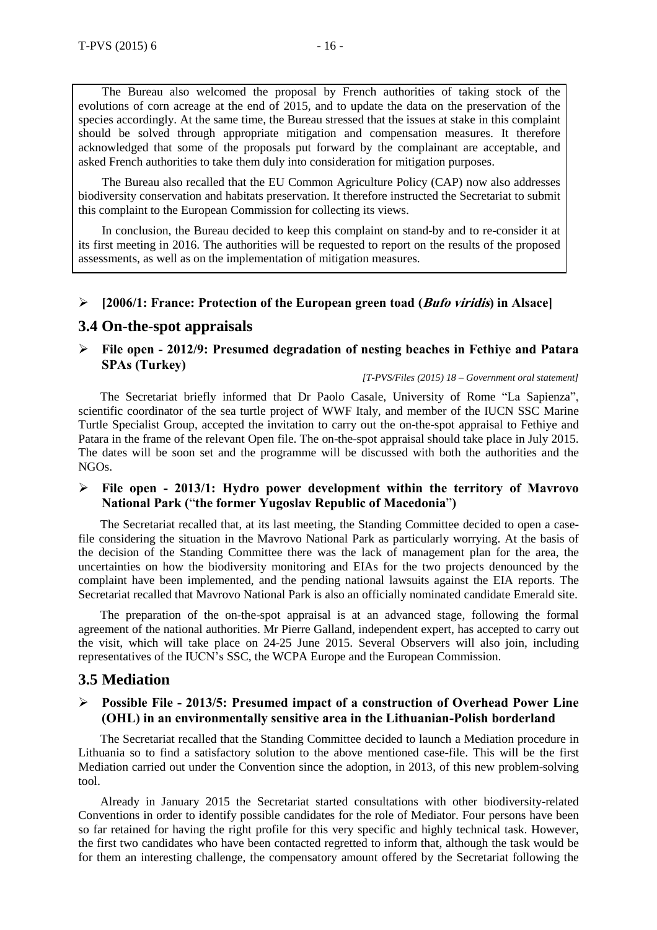The Bureau also welcomed the proposal by French authorities of taking stock of the evolutions of corn acreage at the end of 2015, and to update the data on the preservation of the species accordingly. At the same time, the Bureau stressed that the issues at stake in this complaint should be solved through appropriate mitigation and compensation measures. It therefore acknowledged that some of the proposals put forward by the complainant are acceptable, and asked French authorities to take them duly into consideration for mitigation purposes.

The Bureau also recalled that the EU Common Agriculture Policy (CAP) now also addresses biodiversity conservation and habitats preservation. It therefore instructed the Secretariat to submit this complaint to the European Commission for collecting its views.

In conclusion, the Bureau decided to keep this complaint on stand-by and to re-consider it at its first meeting in 2016. The authorities will be requested to report on the results of the proposed assessments, as well as on the implementation of mitigation measures.

## **[2006/1: France: Protection of the European green toad (Bufo viridis) in Alsace]**

## **3.4 On-the-spot appraisals**

 **File open - 2012/9: Presumed degradation of nesting beaches in Fethiye and Patara SPAs (Turkey)**

*[T-PVS/Files (2015) 18 – Government oral statement]*

The Secretariat briefly informed that Dr Paolo Casale, University of Rome "La Sapienza", scientific coordinator of the sea turtle project of WWF Italy, and member of the IUCN SSC Marine Turtle Specialist Group, accepted the invitation to carry out the on-the-spot appraisal to Fethiye and Patara in the frame of the relevant Open file. The on-the-spot appraisal should take place in July 2015. The dates will be soon set and the programme will be discussed with both the authorities and the NGOs.

## **File open - 2013/1: Hydro power development within the territory of Mavrovo National Park (**"**the former Yugoslav Republic of Macedonia**"**)**

The Secretariat recalled that, at its last meeting, the Standing Committee decided to open a casefile considering the situation in the Mavrovo National Park as particularly worrying. At the basis of the decision of the Standing Committee there was the lack of management plan for the area, the uncertainties on how the biodiversity monitoring and EIAs for the two projects denounced by the complaint have been implemented, and the pending national lawsuits against the EIA reports. The Secretariat recalled that Mavrovo National Park is also an officially nominated candidate Emerald site.

The preparation of the on-the-spot appraisal is at an advanced stage, following the formal agreement of the national authorities. Mr Pierre Galland, independent expert, has accepted to carry out the visit, which will take place on 24-25 June 2015. Several Observers will also join, including representatives of the IUCN's SSC, the WCPA Europe and the European Commission.

## **3.5 Mediation**

## **Possible File - 2013/5: Presumed impact of a construction of Overhead Power Line (OHL) in an environmentally sensitive area in the Lithuanian-Polish borderland**

The Secretariat recalled that the Standing Committee decided to launch a Mediation procedure in Lithuania so to find a satisfactory solution to the above mentioned case-file. This will be the first Mediation carried out under the Convention since the adoption, in 2013, of this new problem-solving tool.

Already in January 2015 the Secretariat started consultations with other biodiversity-related Conventions in order to identify possible candidates for the role of Mediator. Four persons have been so far retained for having the right profile for this very specific and highly technical task. However, the first two candidates who have been contacted regretted to inform that, although the task would be for them an interesting challenge, the compensatory amount offered by the Secretariat following the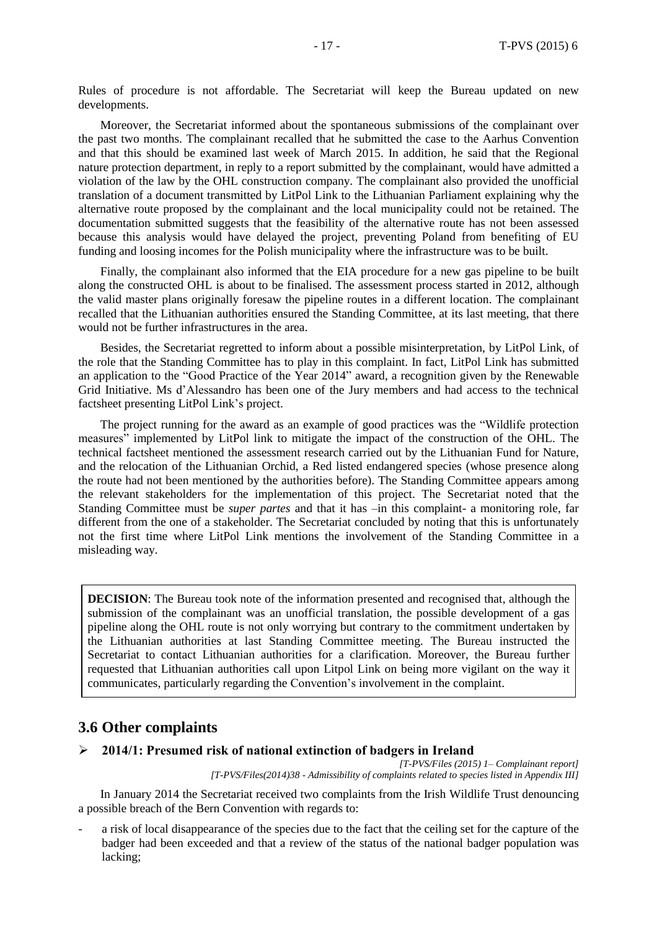Rules of procedure is not affordable. The Secretariat will keep the Bureau updated on new developments.

Moreover, the Secretariat informed about the spontaneous submissions of the complainant over the past two months. The complainant recalled that he submitted the case to the Aarhus Convention and that this should be examined last week of March 2015. In addition, he said that the Regional nature protection department, in reply to a report submitted by the complainant, would have admitted a violation of the law by the OHL construction company. The complainant also provided the unofficial translation of a document transmitted by LitPol Link to the Lithuanian Parliament explaining why the alternative route proposed by the complainant and the local municipality could not be retained. The documentation submitted suggests that the feasibility of the alternative route has not been assessed because this analysis would have delayed the project, preventing Poland from benefiting of EU funding and loosing incomes for the Polish municipality where the infrastructure was to be built.

Finally, the complainant also informed that the EIA procedure for a new gas pipeline to be built along the constructed OHL is about to be finalised. The assessment process started in 2012, although the valid master plans originally foresaw the pipeline routes in a different location. The complainant recalled that the Lithuanian authorities ensured the Standing Committee, at its last meeting, that there would not be further infrastructures in the area.

Besides, the Secretariat regretted to inform about a possible misinterpretation, by LitPol Link, of the role that the Standing Committee has to play in this complaint. In fact, LitPol Link has submitted an application to the "Good Practice of the Year 2014" award, a recognition given by the Renewable Grid Initiative. Ms d'Alessandro has been one of the Jury members and had access to the technical factsheet presenting LitPol Link's project.

The project running for the award as an example of good practices was the "Wildlife protection measures" implemented by LitPol link to mitigate the impact of the construction of the OHL. The technical factsheet mentioned the assessment research carried out by the Lithuanian Fund for Nature, and the relocation of the Lithuanian Orchid, a Red listed endangered species (whose presence along the route had not been mentioned by the authorities before). The Standing Committee appears among the relevant stakeholders for the implementation of this project. The Secretariat noted that the Standing Committee must be *super partes* and that it has –in this complaint- a monitoring role, far different from the one of a stakeholder. The Secretariat concluded by noting that this is unfortunately not the first time where LitPol Link mentions the involvement of the Standing Committee in a misleading way.

**DECISION**: The Bureau took note of the information presented and recognised that, although the submission of the complainant was an unofficial translation, the possible development of a gas pipeline along the OHL route is not only worrying but contrary to the commitment undertaken by the Lithuanian authorities at last Standing Committee meeting. The Bureau instructed the Secretariat to contact Lithuanian authorities for a clarification. Moreover, the Bureau further requested that Lithuanian authorities call upon Litpol Link on being more vigilant on the way it communicates, particularly regarding the Convention's involvement in the complaint.

## **3.6 Other complaints**

## **2014/1: Presumed risk of national extinction of badgers in Ireland**

*[T-PVS/Files (2015) 1– Complainant report] [T-PVS/Files(2014)38 - Admissibility of complaints related to species listed in Appendix III]*

In January 2014 the Secretariat received two complaints from the Irish Wildlife Trust denouncing a possible breach of the Bern Convention with regards to:

a risk of local disappearance of the species due to the fact that the ceiling set for the capture of the badger had been exceeded and that a review of the status of the national badger population was lacking;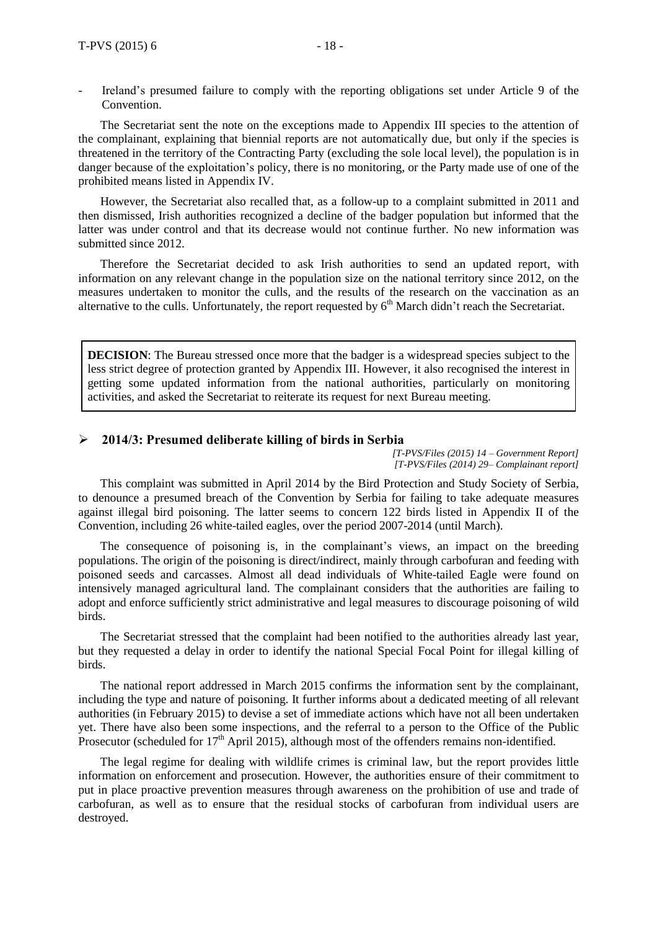Ireland's presumed failure to comply with the reporting obligations set under Article 9 of the Convention.

The Secretariat sent the note on the exceptions made to Appendix III species to the attention of the complainant, explaining that biennial reports are not automatically due, but only if the species is threatened in the territory of the Contracting Party (excluding the sole local level), the population is in danger because of the exploitation's policy, there is no monitoring, or the Party made use of one of the prohibited means listed in Appendix IV.

However, the Secretariat also recalled that, as a follow-up to a complaint submitted in 2011 and then dismissed, Irish authorities recognized a decline of the badger population but informed that the latter was under control and that its decrease would not continue further. No new information was submitted since 2012.

Therefore the Secretariat decided to ask Irish authorities to send an updated report, with information on any relevant change in the population size on the national territory since 2012, on the measures undertaken to monitor the culls, and the results of the research on the vaccination as an alternative to the culls. Unfortunately, the report requested by  $6<sup>th</sup>$  March didn't reach the Secretariat.

**DECISION**: The Bureau stressed once more that the badger is a widespread species subject to the less strict degree of protection granted by Appendix III. However, it also recognised the interest in getting some updated information from the national authorities, particularly on monitoring activities, and asked the Secretariat to reiterate its request for next Bureau meeting.

#### **2014/3: Presumed deliberate killing of birds in Serbia**

*[T-PVS/Files (2015) 14 – Government Report] [T-PVS/Files (2014) 29– Complainant report]*

This complaint was submitted in April 2014 by the Bird Protection and Study Society of Serbia, to denounce a presumed breach of the Convention by Serbia for failing to take adequate measures against illegal bird poisoning. The latter seems to concern 122 birds listed in Appendix II of the Convention, including 26 white-tailed eagles, over the period 2007-2014 (until March).

The consequence of poisoning is, in the complainant's views, an impact on the breeding populations. The origin of the poisoning is direct/indirect, mainly through carbofuran and feeding with poisoned seeds and carcasses. Almost all dead individuals of White-tailed Eagle were found on intensively managed agricultural land. The complainant considers that the authorities are failing to adopt and enforce sufficiently strict administrative and legal measures to discourage poisoning of wild birds.

The Secretariat stressed that the complaint had been notified to the authorities already last year, but they requested a delay in order to identify the national Special Focal Point for illegal killing of birds.

The national report addressed in March 2015 confirms the information sent by the complainant, including the type and nature of poisoning. It further informs about a dedicated meeting of all relevant authorities (in February 2015) to devise a set of immediate actions which have not all been undertaken yet. There have also been some inspections, and the referral to a person to the Office of the Public Prosecutor (scheduled for  $17<sup>th</sup>$  April 2015), although most of the offenders remains non-identified.

The legal regime for dealing with wildlife crimes is criminal law, but the report provides little information on enforcement and prosecution. However, the authorities ensure of their commitment to put in place proactive prevention measures through awareness on the prohibition of use and trade of carbofuran, as well as to ensure that the residual stocks of carbofuran from individual users are destroyed.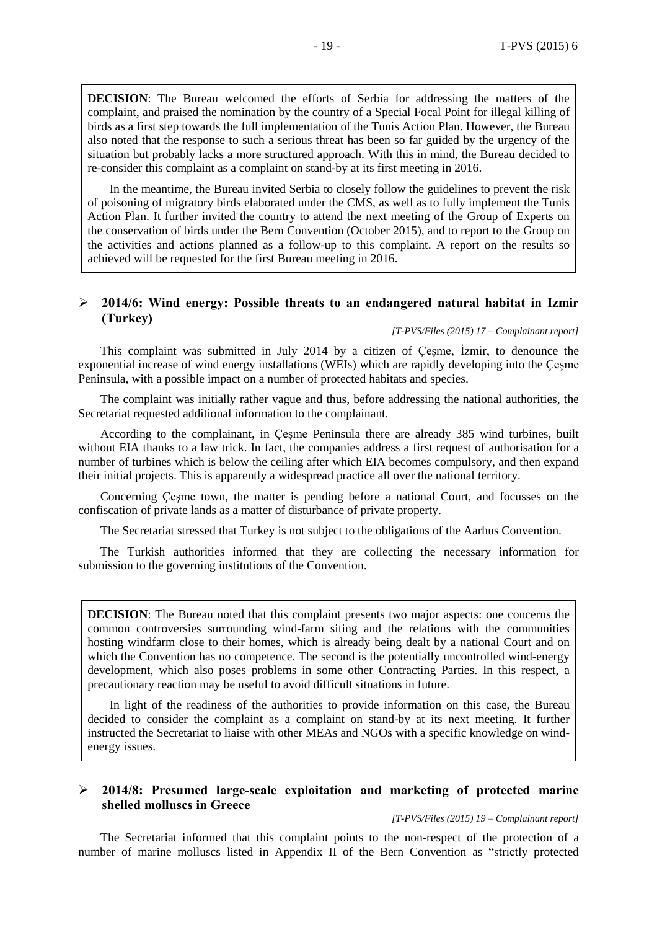**DECISION**: The Bureau welcomed the efforts of Serbia for addressing the matters of the complaint, and praised the nomination by the country of a Special Focal Point for illegal killing of birds as a first step towards the full implementation of the Tunis Action Plan. However, the Bureau also noted that the response to such a serious threat has been so far guided by the urgency of the situation but probably lacks a more structured approach. With this in mind, the Bureau decided to re-consider this complaint as a complaint on stand-by at its first meeting in 2016.

In the meantime, the Bureau invited Serbia to closely follow the guidelines to prevent the risk of poisoning of migratory birds elaborated under the CMS, as well as to fully implement the Tunis Action Plan. It further invited the country to attend the next meeting of the Group of Experts on the conservation of birds under the Bern Convention (October 2015), and to report to the Group on the activities and actions planned as a follow-up to this complaint. A report on the results so achieved will be requested for the first Bureau meeting in 2016.

#### **2014/6: Wind energy: Possible threats to an endangered natural habitat in Izmir (Turkey)**

#### *[T-PVS/Files (2015) 17 – Complainant report]*

This complaint was submitted in July 2014 by a citizen of Çeşme, İzmir, to denounce the exponential increase of wind energy installations (WEIs) which are rapidly developing into the Çeşme Peninsula, with a possible impact on a number of protected habitats and species.

The complaint was initially rather vague and thus, before addressing the national authorities, the Secretariat requested additional information to the complainant.

According to the complainant, in Çeşme Peninsula there are already 385 wind turbines, built without EIA thanks to a law trick. In fact, the companies address a first request of authorisation for a number of turbines which is below the ceiling after which EIA becomes compulsory, and then expand their initial projects. This is apparently a widespread practice all over the national territory.

Concerning Çeşme town, the matter is pending before a national Court, and focusses on the confiscation of private lands as a matter of disturbance of private property.

The Secretariat stressed that Turkey is not subject to the obligations of the Aarhus Convention.

The Turkish authorities informed that they are collecting the necessary information for submission to the governing institutions of the Convention.

**DECISION**: The Bureau noted that this complaint presents two major aspects: one concerns the common controversies surrounding wind-farm siting and the relations with the communities hosting windfarm close to their homes, which is already being dealt by a national Court and on which the Convention has no competence. The second is the potentially uncontrolled wind-energy development, which also poses problems in some other Contracting Parties. In this respect, a precautionary reaction may be useful to avoid difficult situations in future.

In light of the readiness of the authorities to provide information on this case, the Bureau decided to consider the complaint as a complaint on stand-by at its next meeting. It further instructed the Secretariat to liaise with other MEAs and NGOs with a specific knowledge on windenergy issues.

#### **2014/8: Presumed large-scale exploitation and marketing of protected marine shelled molluscs in Greece**

*[T-PVS/Files (2015) 19 – Complainant report]*

The Secretariat informed that this complaint points to the non-respect of the protection of a number of marine molluscs listed in Appendix II of the Bern Convention as "strictly protected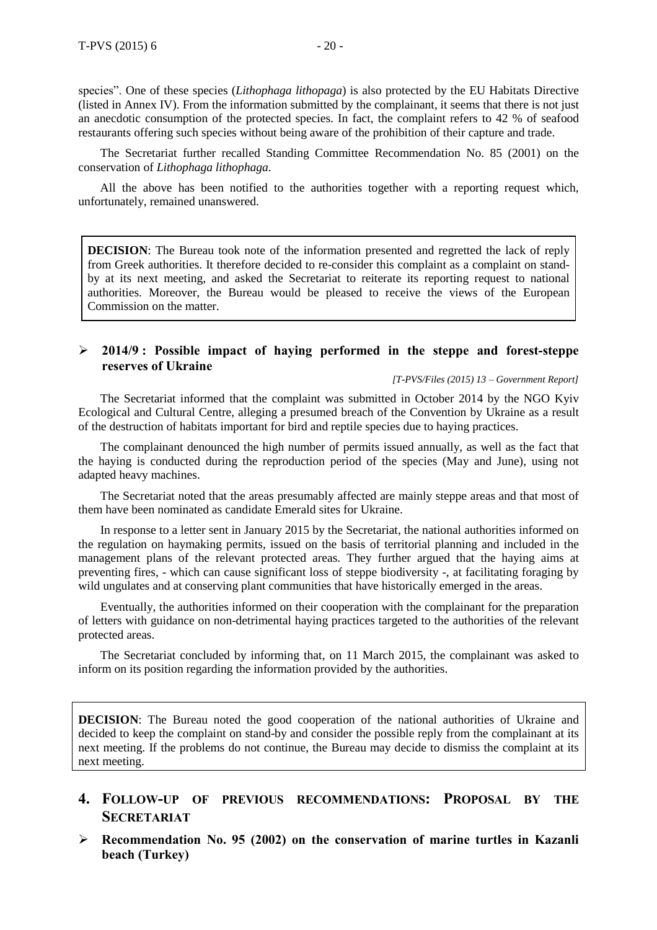The Secretariat further recalled Standing Committee Recommendation No. 85 (2001) on the conservation of *Lithophaga lithophaga*.

All the above has been notified to the authorities together with a reporting request which, unfortunately, remained unanswered.

**DECISION**: The Bureau took note of the information presented and regretted the lack of reply from Greek authorities. It therefore decided to re-consider this complaint as a complaint on standby at its next meeting, and asked the Secretariat to reiterate its reporting request to national authorities. Moreover, the Bureau would be pleased to receive the views of the European Commission on the matter.

#### **2014/9 : Possible impact of haying performed in the steppe and forest-steppe reserves of Ukraine**

*[T-PVS/Files (2015) 13 – Government Report]* 

The Secretariat informed that the complaint was submitted in October 2014 by the NGO Kyiv Ecological and Cultural Centre, alleging a presumed breach of the Convention by Ukraine as a result of the destruction of habitats important for bird and reptile species due to haying practices.

The complainant denounced the high number of permits issued annually, as well as the fact that the haying is conducted during the reproduction period of the species (May and June), using not adapted heavy machines.

The Secretariat noted that the areas presumably affected are mainly steppe areas and that most of them have been nominated as candidate Emerald sites for Ukraine.

In response to a letter sent in January 2015 by the Secretariat, the national authorities informed on the regulation on haymaking permits, issued on the basis of territorial planning and included in the management plans of the relevant protected areas. They further argued that the haying aims at preventing fires, - which can cause significant loss of steppe biodiversity -, at facilitating foraging by wild ungulates and at conserving plant communities that have historically emerged in the areas.

Eventually, the authorities informed on their cooperation with the complainant for the preparation of letters with guidance on non-detrimental haying practices targeted to the authorities of the relevant protected areas.

The Secretariat concluded by informing that, on 11 March 2015, the complainant was asked to inform on its position regarding the information provided by the authorities.

**DECISION**: The Bureau noted the good cooperation of the national authorities of Ukraine and decided to keep the complaint on stand-by and consider the possible reply from the complainant at its next meeting. If the problems do not continue, the Bureau may decide to dismiss the complaint at its next meeting.

- **4. FOLLOW-UP OF PREVIOUS RECOMMENDATIONS: PROPOSAL BY THE SECRETARIAT**
- **Recommendation No. 95 (2002) on the conservation of marine turtles in Kazanli beach (Turkey)**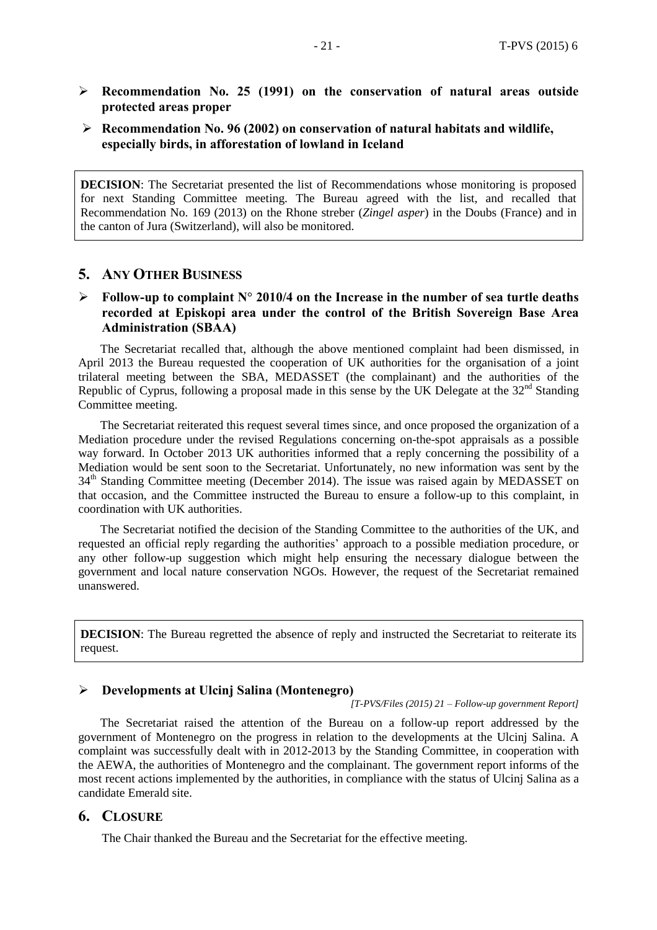- **Recommendation No. 25 (1991) on the conservation of natural areas outside protected areas proper**
- **Recommendation No. 96 (2002) on conservation of natural habitats and wildlife, especially birds, in afforestation of lowland in Iceland**

**DECISION:** The Secretariat presented the list of Recommendations whose monitoring is proposed for next Standing Committee meeting. The Bureau agreed with the list, and recalled that Recommendation No. 169 (2013) on the Rhone streber (*Zingel asper*) in the Doubs (France) and in the canton of Jura (Switzerland), will also be monitored.

## **5. ANY OTHER BUSINESS**

## **Follow-up to complaint N**° **2010/4 on the Increase in the number of sea turtle deaths recorded at Episkopi area under the control of the British Sovereign Base Area Administration (SBAA)**

The Secretariat recalled that, although the above mentioned complaint had been dismissed, in April 2013 the Bureau requested the cooperation of UK authorities for the organisation of a joint trilateral meeting between the SBA, MEDASSET (the complainant) and the authorities of the Republic of Cyprus, following a proposal made in this sense by the UK Delegate at the  $32<sup>nd</sup>$  Standing Committee meeting.

The Secretariat reiterated this request several times since, and once proposed the organization of a Mediation procedure under the revised Regulations concerning on-the-spot appraisals as a possible way forward. In October 2013 UK authorities informed that a reply concerning the possibility of a Mediation would be sent soon to the Secretariat. Unfortunately, no new information was sent by the 34<sup>th</sup> Standing Committee meeting (December 2014). The issue was raised again by MEDASSET on that occasion, and the Committee instructed the Bureau to ensure a follow-up to this complaint, in coordination with UK authorities.

The Secretariat notified the decision of the Standing Committee to the authorities of the UK, and requested an official reply regarding the authorities' approach to a possible mediation procedure, or any other follow-up suggestion which might help ensuring the necessary dialogue between the government and local nature conservation NGOs. However, the request of the Secretariat remained unanswered.

**DECISION:** The Bureau regretted the absence of reply and instructed the Secretariat to reiterate its request.

#### **Developments at Ulcinj Salina (Montenegro)**

*[T-PVS/Files (2015) 21 – Follow-up government Report]*

The Secretariat raised the attention of the Bureau on a follow-up report addressed by the government of Montenegro on the progress in relation to the developments at the Ulcinj Salina. A complaint was successfully dealt with in 2012-2013 by the Standing Committee, in cooperation with the AEWA, the authorities of Montenegro and the complainant. The government report informs of the most recent actions implemented by the authorities, in compliance with the status of Ulcinj Salina as a candidate Emerald site.

#### **6. CLOSURE**

The Chair thanked the Bureau and the Secretariat for the effective meeting.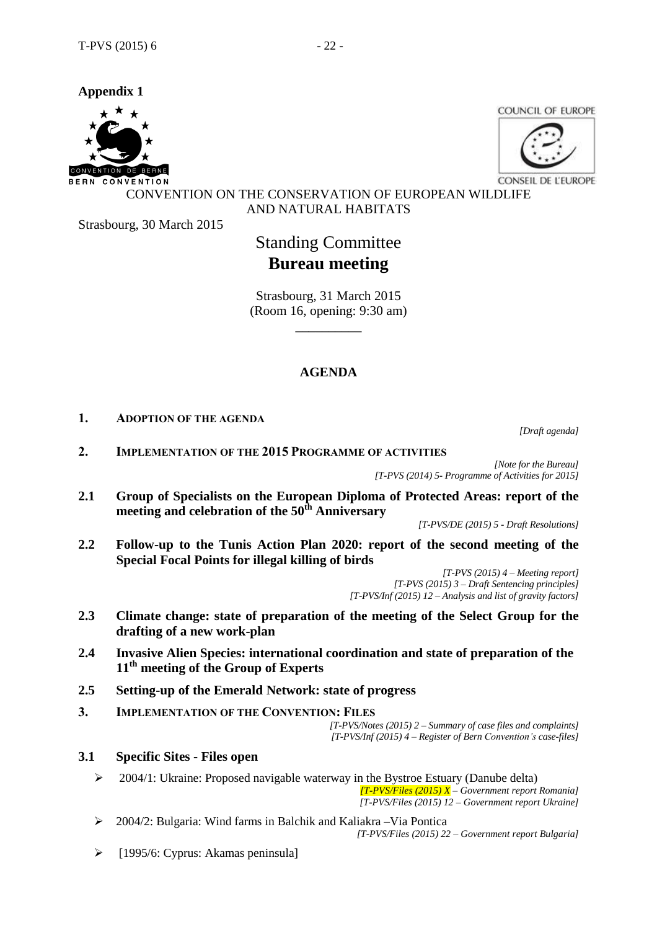**Appendix 1**



**COUNCIL OF EUROPE** 



**CONSEIL DE L'EUROPE** 

CONVENTION ON THE CONSERVATION OF EUROPEAN WILDLIFE AND NATURAL HABITATS

Strasbourg, 30 March 2015

# Standing Committee **Bureau meeting**

Strasbourg, 31 March 2015 (Room 16, opening: 9:30 am)

**\_\_\_\_\_\_\_\_\_\_**

## **AGENDA**

**1. ADOPTION OF THE AGENDA**

*[Draft agenda]*

**2. IMPLEMENTATION OF THE 2015 PROGRAMME OF ACTIVITIES**

*[Note for the Bureau] [T-PVS (2014) 5- Programme of Activities for 2015]*

**2.1 Group of Specialists on the European Diploma of Protected Areas: report of the meeting and celebration of the 50th Anniversary**

*[T-PVS/DE (2015) 5 - Draft Resolutions]*

**2.2 Follow-up to the Tunis Action Plan 2020: report of the second meeting of the Special Focal Points for illegal killing of birds**

> *[T-PVS (2015) 4 – Meeting report] [T-PVS (2015) 3 – Draft Sentencing principles] [T-PVS/Inf (2015) 12 – Analysis and list of gravity factors]*

- **2.3 Climate change: state of preparation of the meeting of the Select Group for the drafting of a new work-plan**
- **2.4 Invasive Alien Species: international coordination and state of preparation of the 11th meeting of the Group of Experts**
- **2.5 Setting-up of the Emerald Network: state of progress**
- **3. IMPLEMENTATION OF THE CONVENTION: FILES**

*[T-PVS/Notes (2015) 2 – Summary of case files and complaints] [T-PVS/Inf (2015) 4 – Register of Bern Convention's case-files]*

- **3.1 Specific Sites - Files open**
	- $\geq$  2004/1: Ukraine: Proposed navigable waterway in the Bystroe Estuary (Danube delta) *[T-PVS/Files (2015) X – Government report Romania] [T-PVS/Files (2015) 12 – Government report Ukraine]*
	- 2004/2: Bulgaria: Wind farms in Balchik and Kaliakra –Via Pontica

*[T-PVS/Files (2015) 22 – Government report Bulgaria]*

 $\triangleright$  [1995/6: Cyprus: Akamas peninsula]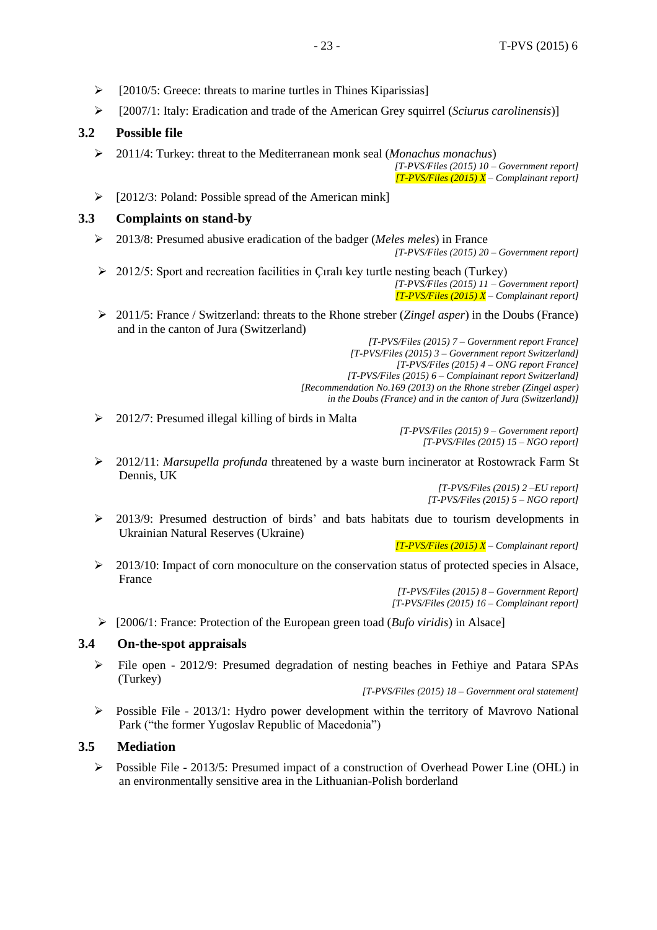- $\triangleright$  [2010/5: Greece: threats to marine turtles in Thines Kiparissias]
- [2007/1: Italy: Eradication and trade of the American Grey squirrel (*Sciurus carolinensis*)]

## **3.2 Possible file**

2011/4: Turkey: threat to the Mediterranean monk seal (*Monachus monachus*)

*[T-PVS/Files (2015) 10 – Government report] [T-PVS/Files (2015) X – Complainant report]*

 $\triangleright$  [2012/3: Poland: Possible spread of the American mink]

## **3.3 Complaints on stand-by**

2013/8: Presumed abusive eradication of the badger (*Meles meles*) in France

*[T-PVS/Files (2015) 20 – Government report]*

- $\geq 2012/5$ : Sport and recreation facilities in Ciral key turtle nesting beach (Turkey) *[T-PVS/Files (2015) 11 – Government report] [T-PVS/Files (2015) X – Complainant report]*
- 2011/5: France / Switzerland: threats to the Rhone streber (*Zingel asper*) in the Doubs (France) and in the canton of Jura (Switzerland)

*[T-PVS/Files (2015) 7 – Government report France] [T-PVS/Files (2015) 3 – Government report Switzerland] [T-PVS/Files (2015) 4 – ONG report France] [T-PVS/Files (2015) 6 – Complainant report Switzerland] [Recommendation No.169 (2013) on the Rhone streber (Zingel asper) in the Doubs (France) and in the canton of Jura (Switzerland)]*

 $\geq$  2012/7: Presumed illegal killing of birds in Malta

*[T-PVS/Files (2015) 9 – Government report] [T-PVS/Files (2015) 15 – NGO report]*

 2012/11: *Marsupella profunda* threatened by a waste burn incinerator at Rostowrack Farm St Dennis, UK

> *[T-PVS/Files (2015) 2 –EU report] [T-PVS/Files (2015) 5 – NGO report]*

 2013/9: Presumed destruction of birds' and bats habitats due to tourism developments in Ukrainian Natural Reserves (Ukraine)

*[T-PVS/Files (2015) X – Complainant report]*

> 2013/10: Impact of corn monoculture on the conservation status of protected species in Alsace, France

> *[T-PVS/Files (2015) 8 – Government Report] [T-PVS/Files (2015) 16 – Complainant report]*

[2006/1: France: Protection of the European green toad (*Bufo viridis*) in Alsace]

## **3.4 On-the-spot appraisals**

 $\triangleright$  File open - 2012/9: Presumed degradation of nesting beaches in Fethiye and Patara SPAs (Turkey)

*[T-PVS/Files (2015) 18 – Government oral statement]*

 Possible File - 2013/1: Hydro power development within the territory of Mavrovo National Park ("the former Yugoslav Republic of Macedonia")

## **3.5 Mediation**

Possible File - 2013/5: Presumed impact of a construction of Overhead Power Line (OHL) in an environmentally sensitive area in the Lithuanian-Polish borderland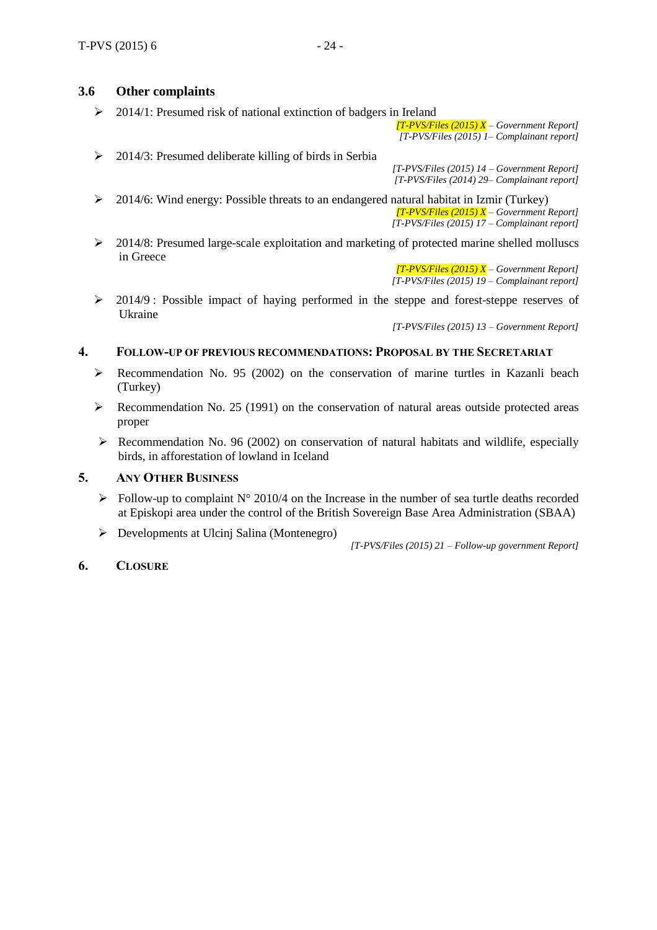#### **3.6 Other complaints**

 $\geq 2014/1$ : Presumed risk of national extinction of badgers in Ireland

*[T-PVS/Files (2015) X – Government Report] [T-PVS/Files (2015) 1– Complainant report]*

 $\geq$  2014/3: Presumed deliberate killing of birds in Serbia

*[T-PVS/Files (2015) 14 – Government Report] [T-PVS/Files (2014) 29– Complainant report]*

- $\geq 2014/6$ : Wind energy: Possible threats to an endangered natural habitat in Izmir (Turkey) *[T-PVS/Files (2015) X – Government Report] [T-PVS/Files (2015) 17 – Complainant report]*
- > 2014/8: Presumed large-scale exploitation and marketing of protected marine shelled molluscs in Greece

*[T-PVS/Files (2015) X – Government Report] [T-PVS/Files (2015) 19 – Complainant report]*

 2014/9 : Possible impact of haying performed in the steppe and forest-steppe reserves of Ukraine

*[T-PVS/Files (2015) 13 – Government Report]* 

#### **4. FOLLOW-UP OF PREVIOUS RECOMMENDATIONS: PROPOSAL BY THE SECRETARIAT**

- Recommendation No. 95 (2002) on the conservation of marine turtles in Kazanli beach (Turkey)
- $\triangleright$  Recommendation No. 25 (1991) on the conservation of natural areas outside protected areas proper
- $\triangleright$  Recommendation No. 96 (2002) on conservation of natural habitats and wildlife, especially birds, in afforestation of lowland in Iceland

#### **5. ANY OTHER BUSINESS**

- $\triangleright$  Follow-up to complaint N° 2010/4 on the Increase in the number of sea turtle deaths recorded at Episkopi area under the control of the British Sovereign Base Area Administration (SBAA)
- Developments at Ulcinj Salina (Montenegro)

*[T-PVS/Files (2015) 21 – Follow-up government Report]*

**6. CLOSURE**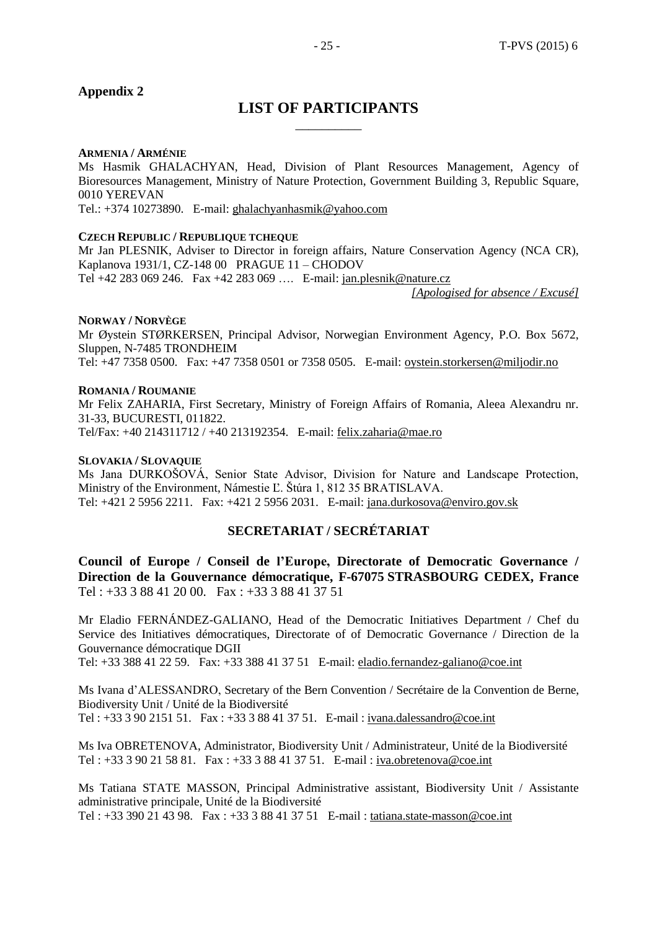## **Appendix 2**

## **LIST OF PARTICIPANTS** \_\_\_\_\_\_\_\_\_\_

#### **ARMENIA / ARMÉNIE**

Ms Hasmik GHALACHYAN, Head, Division of Plant Resources Management, Agency of Bioresources Management, Ministry of Nature Protection, Government Building 3, Republic Square, 0010 YEREVAN

Tel.: +374 10273890. E-mail: [ghalachyanhasmik@yahoo.com](mailto:ghalachyanhasmik@yahoo.com)

#### **CZECH REPUBLIC / REPUBLIQUE TCHEQUE**

Mr Jan PLESNIK, Adviser to Director in foreign affairs, Nature Conservation Agency (NCA CR), Kaplanova 1931/1, CZ-148 00 PRAGUE 11 – CHODOV

Tel +42 283 069 246. Fax +42 283 069 …. E-mail: [jan.plesnik@nature.cz](mailto:jan.plesnik@nature.cz)

*[Apologised for absence / Excusé]*

#### **NORWAY / NORVÈGE**

Mr Øystein STØRKERSEN, Principal Advisor, Norwegian Environment Agency, P.O. Box 5672, Sluppen, N-7485 TRONDHEIM

Tel: +47 7358 0500. Fax: +47 7358 0501 or 7358 0505. E-mail: [oystein.storkersen@miljodir.no](mailto:oystein.storkersen@miljodir.no)

#### **ROMANIA / ROUMANIE**

Mr Felix ZAHARIA, First Secretary, Ministry of Foreign Affairs of Romania, Aleea Alexandru nr. 31-33, BUCURESTI, 011822. Tel/Fax: +40 214311712 / +40 213192354. E-mail: [felix.zaharia@mae.ro](mailto:felix.zaharia@mae.ro)

#### **SLOVAKIA / SLOVAQUIE**

Ms Jana DURKOŠOVÁ, Senior State Advisor, Division for Nature and Landscape Protection, Ministry of the Environment, Námestie Ľ. Štúra 1, 812 35 BRATISLAVA. Tel: +421 2 5956 2211. Fax: +421 2 5956 2031. E-mail: [jana.durkosova@enviro.gov.sk](mailto:jana.durkosova@enviro.gov.sk)

## **SECRETARIAT / SECRÉTARIAT**

**Council of Europe / Conseil de l'Europe, Directorate of Democratic Governance / Direction de la Gouvernance démocratique, F-67075 STRASBOURG CEDEX, France** Tel : +33 3 88 41 20 00. Fax : +33 3 88 41 37 51

Mr Eladio FERNÁNDEZ-GALIANO, Head of the Democratic Initiatives Department / Chef du Service des Initiatives démocratiques, Directorate of of Democratic Governance / Direction de la Gouvernance démocratique DGII Tel: +33 388 41 22 59. Fax: +33 388 41 37 51 E-mail: [eladio.fernandez-galiano@coe.int](mailto:eladio.fernandezgaliano@coe.fr)

Ms Ivana d'ALESSANDRO, Secretary of the Bern Convention / Secrétaire de la Convention de Berne, Biodiversity Unit / Unité de la Biodiversité Tel : +33 3 90 2151 51. Fax : +33 3 88 41 37 51. E-mail : [ivana.dalessandro@coe.int](mailto:ivana.dalessandro@coe.int)

Ms Iva OBRETENOVA, Administrator, Biodiversity Unit / Administrateur, Unité de la Biodiversité Tel : +33 3 90 21 58 81. Fax : +33 3 88 41 37 51. E-mail : [iva.obretenova@coe.int](mailto:iva.obretenova@coe.int)

Ms Tatiana STATE MASSON, Principal Administrative assistant, Biodiversity Unit / Assistante administrative principale, Unité de la Biodiversité Tel : +33 390 21 43 98. Fax : +33 3 88 41 37 51 E-mail : [tatiana.state-masson@coe.int](mailto:tatiana.state-masson@coe.int)